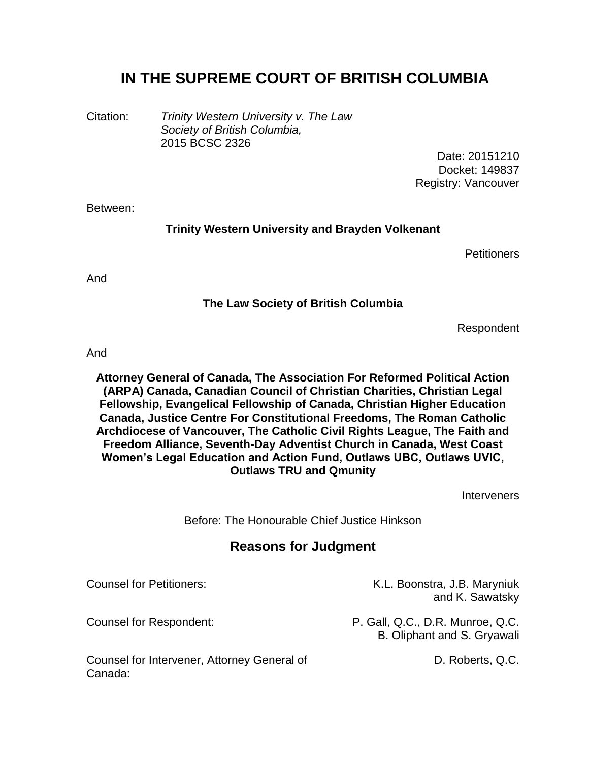# **IN THE SUPREME COURT OF BRITISH COLUMBIA**

Citation: *Trinity Western University v. The Law Society of British Columbia,* 2015 BCSC 2326

Date: 20151210 Docket: 149837 Registry: Vancouver

Between:

#### **Trinity Western University and Brayden Volkenant**

**Petitioners** 

And

#### **The Law Society of British Columbia**

Respondent

And

**Attorney General of Canada, The Association For Reformed Political Action (ARPA) Canada, Canadian Council of Christian Charities, Christian Legal Fellowship, Evangelical Fellowship of Canada, Christian Higher Education Canada, Justice Centre For Constitutional Freedoms, The Roman Catholic Archdiocese of Vancouver, The Catholic Civil Rights League, The Faith and Freedom Alliance, Seventh-Day Adventist Church in Canada, West Coast Women's Legal Education and Action Fund, Outlaws UBC, Outlaws UVIC, Outlaws TRU and Qmunity**

**Interveners** 

Before: The Honourable Chief Justice Hinkson

# **Reasons for Judgment**

Counsel for Petitioners: K.L. Boonstra, J.B. Maryniuk and K. Sawatsky Counsel for Respondent: P. Gall, Q.C., D.R. Munroe, Q.C. B. Oliphant and S. Gryawali

Counsel for Intervener, Attorney General of Canada:

D. Roberts, Q.C.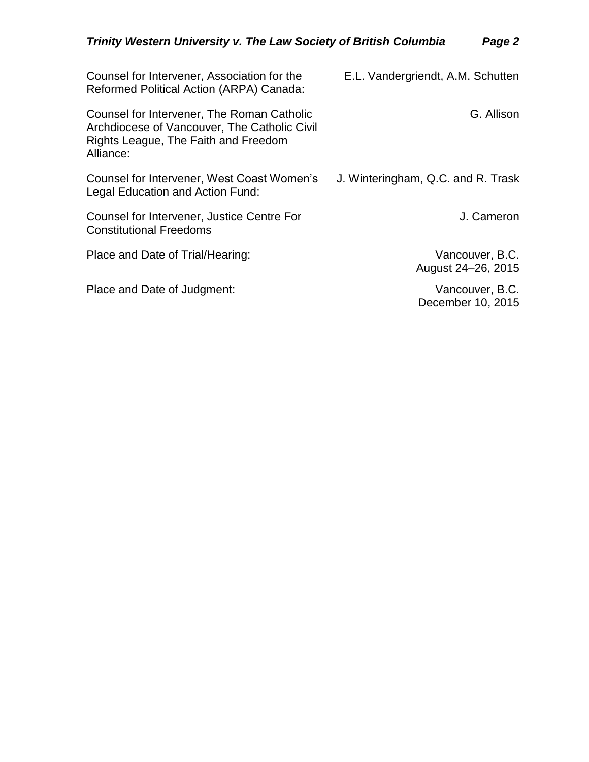| Counsel for Intervener, Association for the<br>Reformed Political Action (ARPA) Canada:                                                         | E.L. Vandergriendt, A.M. Schutten     |
|-------------------------------------------------------------------------------------------------------------------------------------------------|---------------------------------------|
| Counsel for Intervener, The Roman Catholic<br>Archdiocese of Vancouver, The Catholic Civil<br>Rights League, The Faith and Freedom<br>Alliance: | G. Allison                            |
| Counsel for Intervener, West Coast Women's<br>Legal Education and Action Fund:                                                                  | J. Winteringham, Q.C. and R. Trask    |
| Counsel for Intervener, Justice Centre For<br><b>Constitutional Freedoms</b>                                                                    | J. Cameron                            |
| Place and Date of Trial/Hearing:                                                                                                                | Vancouver, B.C.<br>August 24-26, 2015 |
| Place and Date of Judgment:                                                                                                                     | Vancouver, B.C.<br>December 10, 2015  |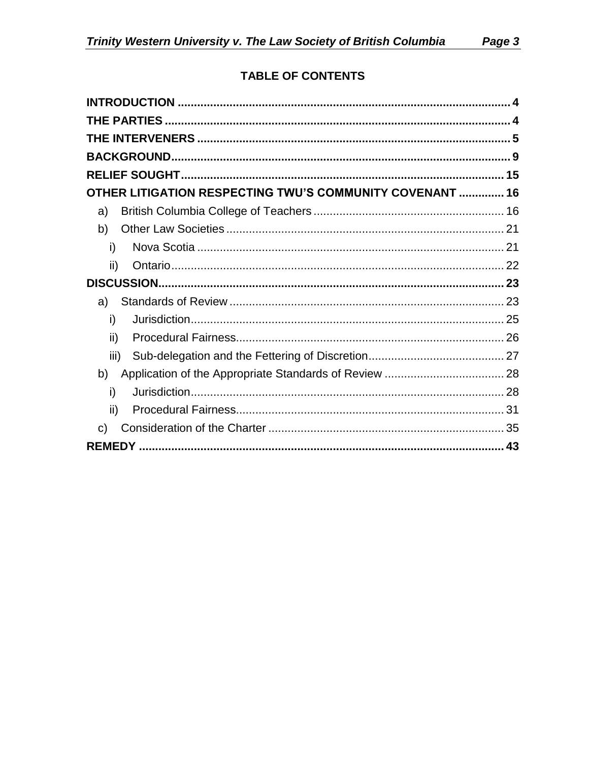# **TABLE OF CONTENTS**

| OTHER LITIGATION RESPECTING TWU'S COMMUNITY COVENANT  16 |  |
|----------------------------------------------------------|--|
| a)                                                       |  |
| b)                                                       |  |
| i)                                                       |  |
| ii)                                                      |  |
|                                                          |  |
| a)                                                       |  |
| i)                                                       |  |
| ii)                                                      |  |
| iii)                                                     |  |
| b)                                                       |  |
| i)                                                       |  |
| ii)                                                      |  |
| $\mathsf{C}$                                             |  |
|                                                          |  |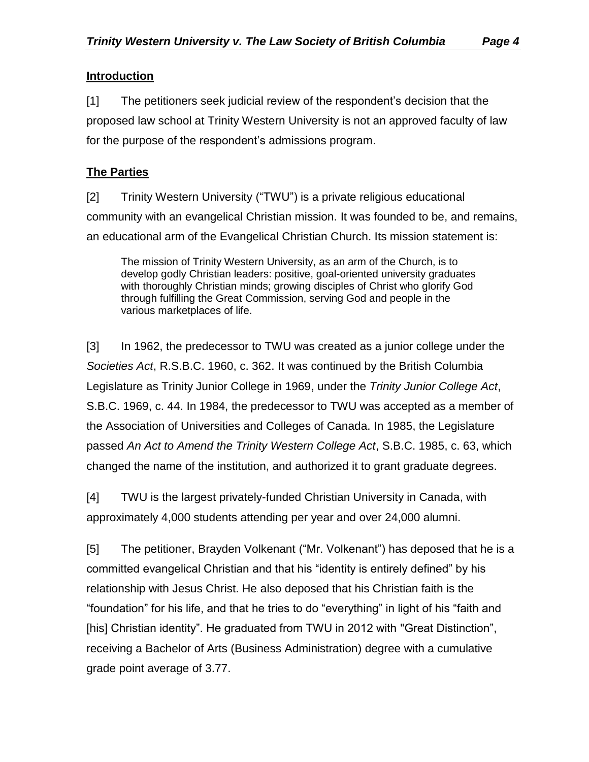#### <span id="page-3-0"></span>**Introduction**

[1] The petitioners seek judicial review of the respondent's decision that the proposed law school at Trinity Western University is not an approved faculty of law for the purpose of the respondent's admissions program.

# <span id="page-3-1"></span>**The Parties**

[2] Trinity Western University ("TWU") is a private religious educational community with an evangelical Christian mission. It was founded to be, and remains, an educational arm of the Evangelical Christian Church. Its mission statement is:

The mission of Trinity Western University, as an arm of the Church, is to develop godly Christian leaders: positive, goal-oriented university graduates with thoroughly Christian minds; growing disciples of Christ who glorify God through fulfilling the Great Commission, serving God and people in the various marketplaces of life.

[3] In 1962, the predecessor to TWU was created as a junior college under the *Societies Act*, R.S.B.C. 1960, c. 362. It was continued by the British Columbia Legislature as Trinity Junior College in 1969, under the *Trinity Junior College Act*, S.B.C. 1969, c. 44. In 1984, the predecessor to TWU was accepted as a member of the Association of Universities and Colleges of Canada. In 1985, the Legislature passed *An Act to Amend the Trinity Western College Act*, S.B.C. 1985, c. 63, which changed the name of the institution, and authorized it to grant graduate degrees.

[4] TWU is the largest privately-funded Christian University in Canada, with approximately 4,000 students attending per year and over 24,000 alumni.

[5] The petitioner, Brayden Volkenant ("Mr. Volkenant") has deposed that he is a committed evangelical Christian and that his "identity is entirely defined" by his relationship with Jesus Christ. He also deposed that his Christian faith is the "foundation" for his life, and that he tries to do "everything" in light of his "faith and [his] Christian identity". He graduated from TWU in 2012 with "Great Distinction", receiving a Bachelor of Arts (Business Administration) degree with a cumulative grade point average of 3.77.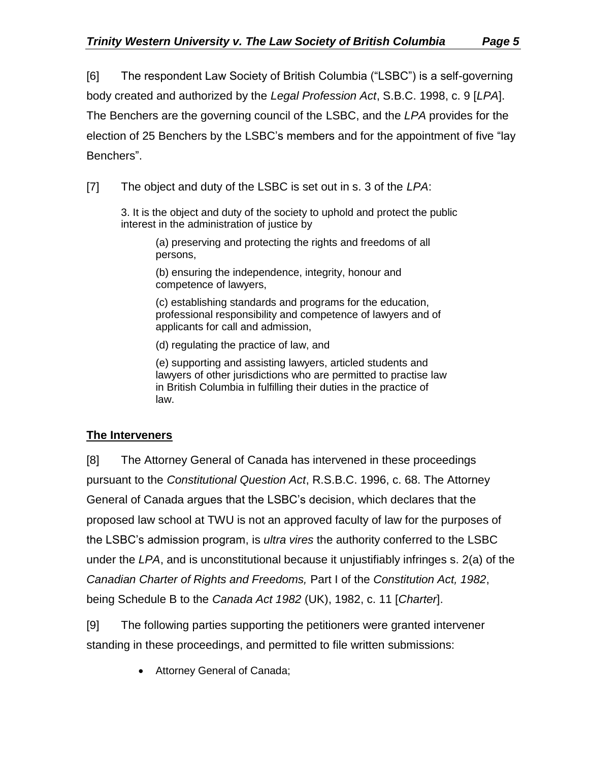[6] The respondent Law Society of British Columbia ("LSBC") is a self-governing body created and authorized by the *Legal Profession Act*, S.B.C. 1998, c. 9 [*LPA*]. The Benchers are the governing council of the LSBC, and the *LPA* provides for the election of 25 Benchers by the LSBC's members and for the appointment of five "lay Benchers".

[7] The object and duty of the LSBC is set out in s. 3 of the *LPA*:

3. It is the object and duty of the society to uphold and protect the public interest in the administration of justice by

> (a) preserving and protecting the rights and freedoms of all persons,

(b) ensuring the independence, integrity, honour and competence of lawyers,

(c) establishing standards and programs for the education, professional responsibility and competence of lawyers and of applicants for call and admission,

(d) regulating the practice of law, and

(e) supporting and assisting lawyers, articled students and lawyers of other jurisdictions who are permitted to practise law in British Columbia in fulfilling their duties in the practice of law.

# <span id="page-4-0"></span>**The Interveners**

[8] The Attorney General of Canada has intervened in these proceedings pursuant to the *Constitutional Question Act*, R.S.B.C. 1996, c. 68. The Attorney General of Canada argues that the LSBC's decision, which declares that the proposed law school at TWU is not an approved faculty of law for the purposes of the LSBC's admission program, is *ultra vires* the authority conferred to the LSBC under the *LPA*, and is unconstitutional because it unjustifiably infringes s. 2(a) of the *Canadian Charter of Rights and Freedoms,* Part I of the *Constitution Act, 1982*, being Schedule B to the *Canada Act 1982* (UK), 1982, c. 11 [*Charter*].

[9] The following parties supporting the petitioners were granted intervener standing in these proceedings, and permitted to file written submissions:

Attorney General of Canada;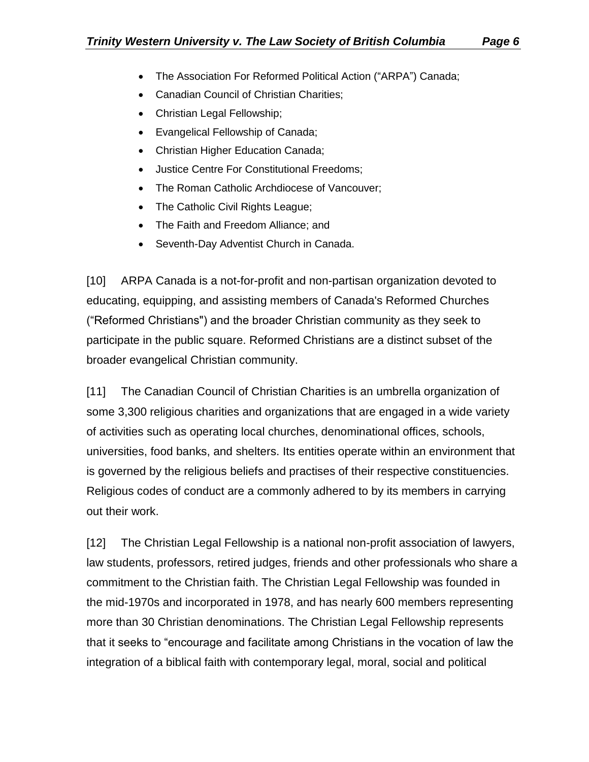- The Association For Reformed Political Action ("ARPA") Canada;
- Canadian Council of Christian Charities;
- Christian Legal Fellowship;
- Evangelical Fellowship of Canada;
- Christian Higher Education Canada;
- Justice Centre For Constitutional Freedoms;
- The Roman Catholic Archdiocese of Vancouver;
- The Catholic Civil Rights League;
- The Faith and Freedom Alliance; and
- Seventh-Day Adventist Church in Canada.

[10] ARPA Canada is a not-for-profit and non-partisan organization devoted to educating, equipping, and assisting members of Canada's Reformed Churches ("Reformed Christians") and the broader Christian community as they seek to participate in the public square. Reformed Christians are a distinct subset of the broader evangelical Christian community.

[11] The Canadian Council of Christian Charities is an umbrella organization of some 3,300 religious charities and organizations that are engaged in a wide variety of activities such as operating local churches, denominational offices, schools, universities, food banks, and shelters. Its entities operate within an environment that is governed by the religious beliefs and practises of their respective constituencies. Religious codes of conduct are a commonly adhered to by its members in carrying out their work.

[12] The Christian Legal Fellowship is a national non-profit association of lawyers, law students, professors, retired judges, friends and other professionals who share a commitment to the Christian faith. The Christian Legal Fellowship was founded in the mid-1970s and incorporated in 1978, and has nearly 600 members representing more than 30 Christian denominations. The Christian Legal Fellowship represents that it seeks to "encourage and facilitate among Christians in the vocation of law the integration of a biblical faith with contemporary legal, moral, social and political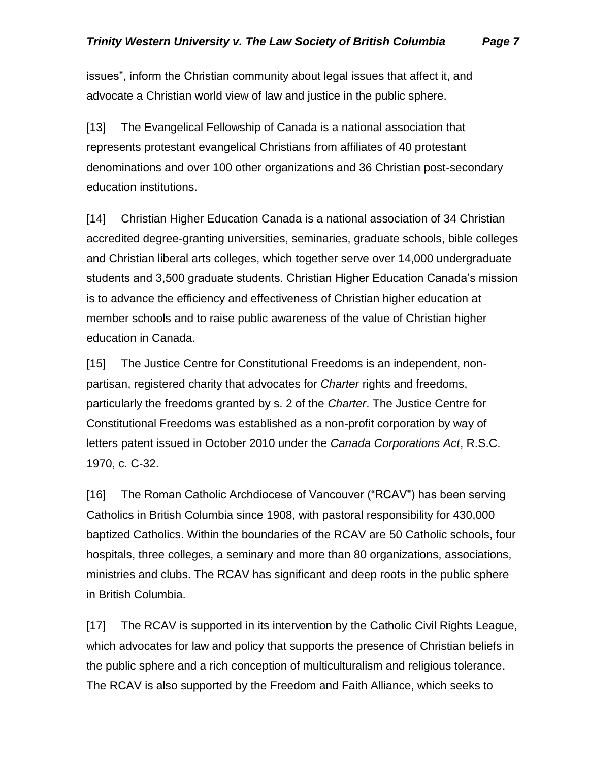issues", inform the Christian community about legal issues that affect it, and advocate a Christian world view of law and justice in the public sphere.

[13] The Evangelical Fellowship of Canada is a national association that represents protestant evangelical Christians from affiliates of 40 protestant denominations and over 100 other organizations and 36 Christian post-secondary education institutions.

[14] Christian Higher Education Canada is a national association of 34 Christian accredited degree-granting universities, seminaries, graduate schools, bible colleges and Christian liberal arts colleges, which together serve over 14,000 undergraduate students and 3,500 graduate students. Christian Higher Education Canada's mission is to advance the efficiency and effectiveness of Christian higher education at member schools and to raise public awareness of the value of Christian higher education in Canada.

[15] The Justice Centre for Constitutional Freedoms is an independent, nonpartisan, registered charity that advocates for *Charter* rights and freedoms, particularly the freedoms granted by s. 2 of the *Charter*. The Justice Centre for Constitutional Freedoms was established as a non-profit corporation by way of letters patent issued in October 2010 under the *Canada Corporations Act*, R.S.C. 1970, c. C-32.

[16] The Roman Catholic Archdiocese of Vancouver ("RCAV") has been serving Catholics in British Columbia since 1908, with pastoral responsibility for 430,000 baptized Catholics. Within the boundaries of the RCAV are 50 Catholic schools, four hospitals, three colleges, a seminary and more than 80 organizations, associations, ministries and clubs. The RCAV has significant and deep roots in the public sphere in British Columbia.

[17] The RCAV is supported in its intervention by the Catholic Civil Rights League, which advocates for law and policy that supports the presence of Christian beliefs in the public sphere and a rich conception of multiculturalism and religious tolerance. The RCAV is also supported by the Freedom and Faith Alliance, which seeks to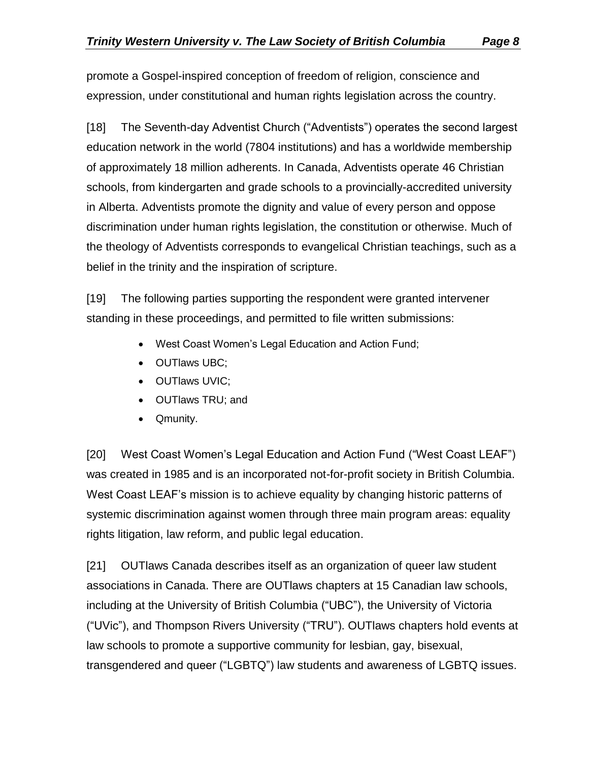promote a Gospel-inspired conception of freedom of religion, conscience and expression, under constitutional and human rights legislation across the country.

[18] The Seventh-day Adventist Church ("Adventists") operates the second largest education network in the world (7804 institutions) and has a worldwide membership of approximately 18 million adherents. In Canada, Adventists operate 46 Christian schools, from kindergarten and grade schools to a provincially-accredited university in Alberta. Adventists promote the dignity and value of every person and oppose discrimination under human rights legislation, the constitution or otherwise. Much of the theology of Adventists corresponds to evangelical Christian teachings, such as a belief in the trinity and the inspiration of scripture.

[19] The following parties supporting the respondent were granted intervener standing in these proceedings, and permitted to file written submissions:

- West Coast Women's Legal Education and Action Fund;
- OUTlaws UBC;
- OUTlaws UVIC;
- OUTlaws TRU; and
- Qmunity.

[20] West Coast Women's Legal Education and Action Fund ("West Coast LEAF") was created in 1985 and is an incorporated not-for-profit society in British Columbia. West Coast LEAF's mission is to achieve equality by changing historic patterns of systemic discrimination against women through three main program areas: equality rights litigation, law reform, and public legal education.

[21] OUTlaws Canada describes itself as an organization of queer law student associations in Canada. There are OUTlaws chapters at 15 Canadian law schools, including at the University of British Columbia ("UBC"), the University of Victoria ("UVic"), and Thompson Rivers University ("TRU"). OUTlaws chapters hold events at law schools to promote a supportive community for lesbian, gay, bisexual, transgendered and queer ("LGBTQ") law students and awareness of LGBTQ issues.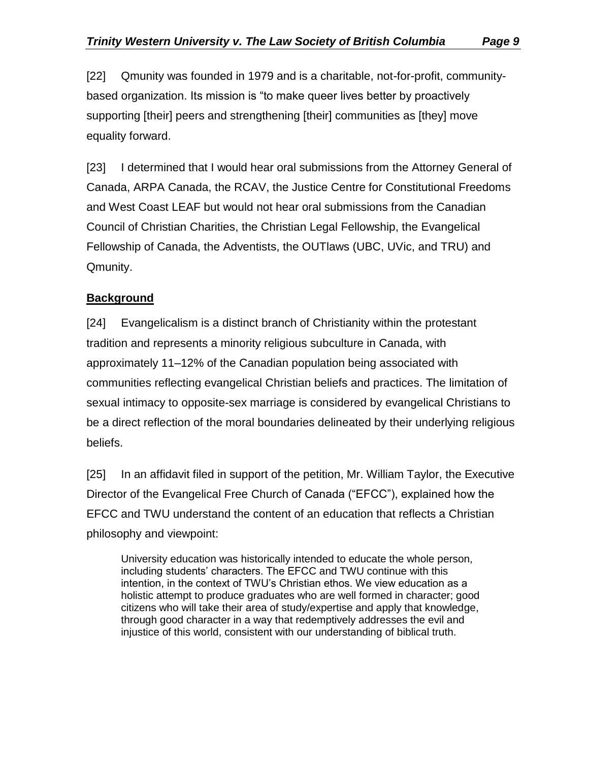[22] Qmunity was founded in 1979 and is a charitable, not-for-profit, communitybased organization. Its mission is "to make queer lives better by proactively supporting [their] peers and strengthening [their] communities as [they] move equality forward.

[23] I determined that I would hear oral submissions from the Attorney General of Canada, ARPA Canada, the RCAV, the Justice Centre for Constitutional Freedoms and West Coast LEAF but would not hear oral submissions from the Canadian Council of Christian Charities, the Christian Legal Fellowship, the Evangelical Fellowship of Canada, the Adventists, the OUTlaws (UBC, UVic, and TRU) and Qmunity.

# <span id="page-8-0"></span>**Background**

[24] Evangelicalism is a distinct branch of Christianity within the protestant tradition and represents a minority religious subculture in Canada, with approximately 11–12% of the Canadian population being associated with communities reflecting evangelical Christian beliefs and practices. The limitation of sexual intimacy to opposite-sex marriage is considered by evangelical Christians to be a direct reflection of the moral boundaries delineated by their underlying religious beliefs.

[25] In an affidavit filed in support of the petition, Mr. William Taylor, the Executive Director of the Evangelical Free Church of Canada ("EFCC"), explained how the EFCC and TWU understand the content of an education that reflects a Christian philosophy and viewpoint:

University education was historically intended to educate the whole person, including students' characters. The EFCC and TWU continue with this intention, in the context of TWU's Christian ethos. We view education as a holistic attempt to produce graduates who are well formed in character; good citizens who will take their area of study/expertise and apply that knowledge, through good character in a way that redemptively addresses the evil and injustice of this world, consistent with our understanding of biblical truth.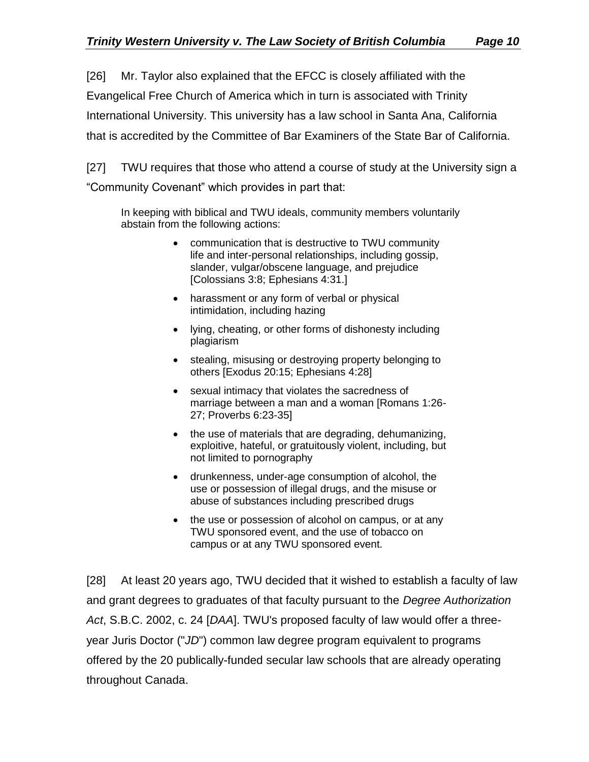[26] Mr. Taylor also explained that the EFCC is closely affiliated with the Evangelical Free Church of America which in turn is associated with Trinity International University. This university has a law school in Santa Ana, California that is accredited by the Committee of Bar Examiners of the State Bar of California.

[27] TWU requires that those who attend a course of study at the University sign a "Community Covenant" which provides in part that:

In keeping with biblical and TWU ideals, community members voluntarily abstain from the following actions:

- communication that is destructive to TWU community life and inter-personal relationships, including gossip, slander, vulgar/obscene language, and prejudice [Colossians 3:8; Ephesians 4:31.]
- harassment or any form of verbal or physical intimidation, including hazing
- lying, cheating, or other forms of dishonesty including plagiarism
- stealing, misusing or destroying property belonging to others [Exodus 20:15; Ephesians 4:28]
- sexual intimacy that violates the sacredness of marriage between a man and a woman [Romans 1:26- 27; Proverbs 6:23-35]
- the use of materials that are degrading, dehumanizing, exploitive, hateful, or gratuitously violent, including, but not limited to pornography
- drunkenness, under-age consumption of alcohol, the use or possession of illegal drugs, and the misuse or abuse of substances including prescribed drugs
- the use or possession of alcohol on campus, or at any TWU sponsored event, and the use of tobacco on campus or at any TWU sponsored event.

[28] At least 20 years ago, TWU decided that it wished to establish a faculty of law and grant degrees to graduates of that faculty pursuant to the *Degree Authorization Act*, S.B.C. 2002, c. 24 [*DAA*]. TWU's proposed faculty of law would offer a threeyear Juris Doctor ("*JD*") common law degree program equivalent to programs offered by the 20 publically-funded secular law schools that are already operating throughout Canada.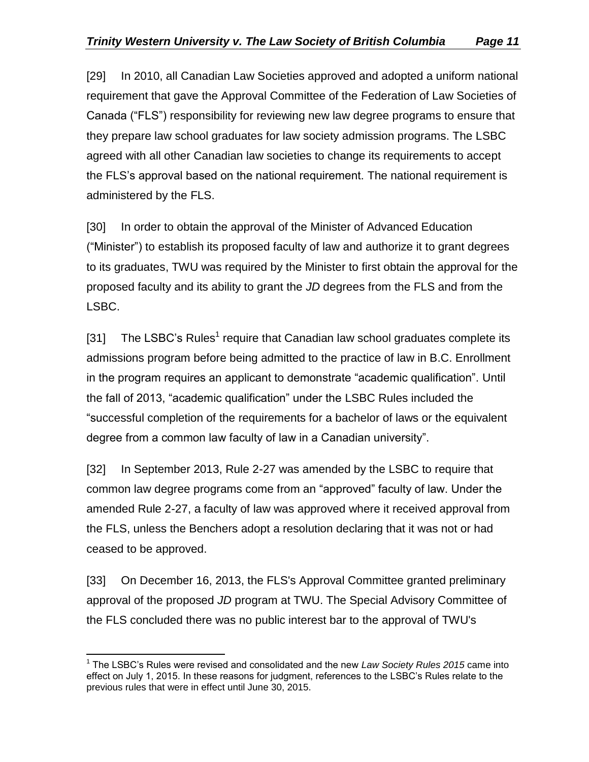[29] In 2010, all Canadian Law Societies approved and adopted a uniform national requirement that gave the Approval Committee of the Federation of Law Societies of Canada ("FLS") responsibility for reviewing new law degree programs to ensure that they prepare law school graduates for law society admission programs. The LSBC agreed with all other Canadian law societies to change its requirements to accept the FLS's approval based on the national requirement. The national requirement is administered by the FLS.

[30] In order to obtain the approval of the Minister of Advanced Education ("Minister") to establish its proposed faculty of law and authorize it to grant degrees to its graduates, TWU was required by the Minister to first obtain the approval for the proposed faculty and its ability to grant the *JD* degrees from the FLS and from the LSBC.

[31] The LSBC's Rules<sup>1</sup> require that Canadian law school graduates complete its admissions program before being admitted to the practice of law in B.C. Enrollment in the program requires an applicant to demonstrate "academic qualification". Until the fall of 2013, "academic qualification" under the LSBC Rules included the "successful completion of the requirements for a bachelor of laws or the equivalent degree from a common law faculty of law in a Canadian university".

[32] In September 2013, Rule 2-27 was amended by the LSBC to require that common law degree programs come from an "approved" faculty of law. Under the amended Rule 2-27, a faculty of law was approved where it received approval from the FLS, unless the Benchers adopt a resolution declaring that it was not or had ceased to be approved.

[33] On December 16, 2013, the FLS's Approval Committee granted preliminary approval of the proposed *JD* program at TWU. The Special Advisory Committee of the FLS concluded there was no public interest bar to the approval of TWU's

 $\overline{\phantom{a}}$ <sup>1</sup> The LSBC's Rules were revised and consolidated and the new *Law Society Rules 2015* came into effect on July 1, 2015. In these reasons for judgment, references to the LSBC's Rules relate to the previous rules that were in effect until June 30, 2015.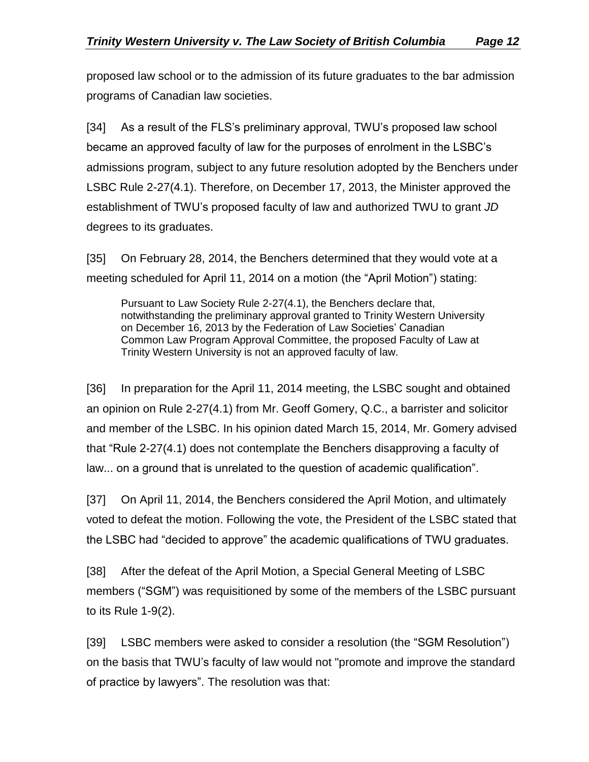proposed law school or to the admission of its future graduates to the bar admission programs of Canadian law societies.

[34] As a result of the FLS's preliminary approval, TWU's proposed law school became an approved faculty of law for the purposes of enrolment in the LSBC's admissions program, subject to any future resolution adopted by the Benchers under LSBC Rule 2-27(4.1). Therefore, on December 17, 2013, the Minister approved the establishment of TWU's proposed faculty of law and authorized TWU to grant *JD* degrees to its graduates.

[35] On February 28, 2014, the Benchers determined that they would vote at a meeting scheduled for April 11, 2014 on a motion (the "April Motion") stating:

Pursuant to Law Society Rule 2-27(4.1), the Benchers declare that, notwithstanding the preliminary approval granted to Trinity Western University on December 16, 2013 by the Federation of Law Societies' Canadian Common Law Program Approval Committee, the proposed Faculty of Law at Trinity Western University is not an approved faculty of law.

[36] In preparation for the April 11, 2014 meeting, the LSBC sought and obtained an opinion on Rule 2-27(4.1) from Mr. Geoff Gomery, Q.C., a barrister and solicitor and member of the LSBC. In his opinion dated March 15, 2014, Mr. Gomery advised that "Rule 2-27(4.1) does not contemplate the Benchers disapproving a faculty of law... on a ground that is unrelated to the question of academic qualification".

[37] On April 11, 2014, the Benchers considered the April Motion, and ultimately voted to defeat the motion. Following the vote, the President of the LSBC stated that the LSBC had "decided to approve" the academic qualifications of TWU graduates.

[38] After the defeat of the April Motion, a Special General Meeting of LSBC members ("SGM") was requisitioned by some of the members of the LSBC pursuant to its Rule 1-9(2).

[39] LSBC members were asked to consider a resolution (the "SGM Resolution") on the basis that TWU's faculty of law would not "promote and improve the standard of practice by lawyers". The resolution was that: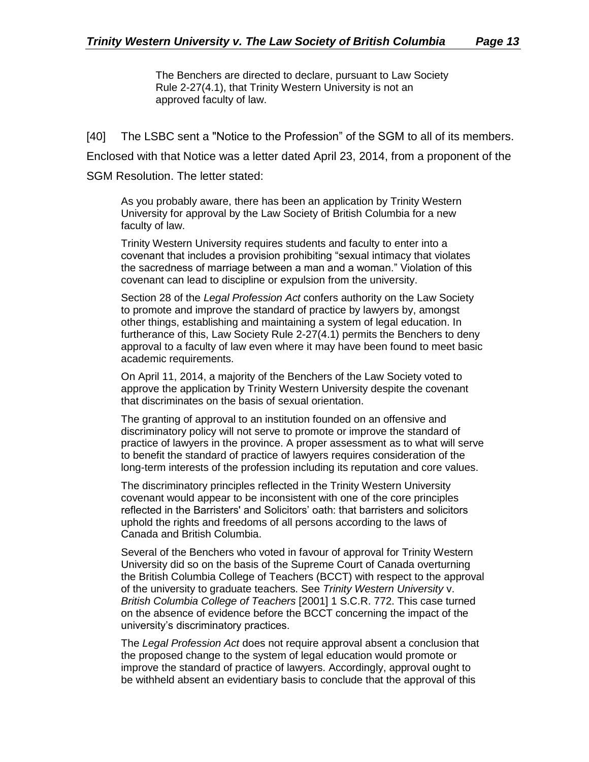The Benchers are directed to declare, pursuant to Law Society Rule 2-27(4.1), that Trinity Western University is not an approved faculty of law.

[40] The LSBC sent a "Notice to the Profession" of the SGM to all of its members. Enclosed with that Notice was a letter dated April 23, 2014, from a proponent of the SGM Resolution. The letter stated:

As you probably aware, there has been an application by Trinity Western University for approval by the Law Society of British Columbia for a new faculty of law.

Trinity Western University requires students and faculty to enter into a covenant that includes a provision prohibiting "sexual intimacy that violates the sacredness of marriage between a man and a woman." Violation of this covenant can lead to discipline or expulsion from the university.

Section 28 of the *Legal Profession Act* confers authority on the Law Society to promote and improve the standard of practice by lawyers by, amongst other things, establishing and maintaining a system of legal education. In furtherance of this, Law Society Rule 2-27(4.1) permits the Benchers to deny approval to a faculty of law even where it may have been found to meet basic academic requirements.

On April 11, 2014, a majority of the Benchers of the Law Society voted to approve the application by Trinity Western University despite the covenant that discriminates on the basis of sexual orientation.

The granting of approval to an institution founded on an offensive and discriminatory policy will not serve to promote or improve the standard of practice of lawyers in the province. A proper assessment as to what will serve to benefit the standard of practice of lawyers requires consideration of the long-term interests of the profession including its reputation and core values.

The discriminatory principles reflected in the Trinity Western University covenant would appear to be inconsistent with one of the core principles reflected in the Barristers' and Solicitors' oath: that barristers and solicitors uphold the rights and freedoms of all persons according to the laws of Canada and British Columbia.

Several of the Benchers who voted in favour of approval for Trinity Western University did so on the basis of the Supreme Court of Canada overturning the British Columbia College of Teachers (BCCT) with respect to the approval of the university to graduate teachers. See *Trinity Western University* v. *British Columbia College of Teachers* [2001] 1 S.C.R. 772. This case turned on the absence of evidence before the BCCT concerning the impact of the university's discriminatory practices.

The *Legal Profession Act* does not require approval absent a conclusion that the proposed change to the system of legal education would promote or improve the standard of practice of lawyers. Accordingly, approval ought to be withheld absent an evidentiary basis to conclude that the approval of this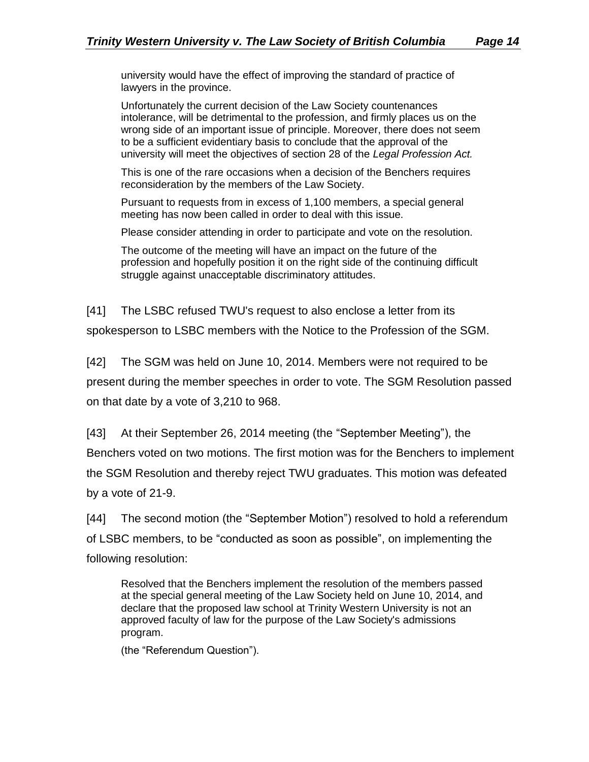university would have the effect of improving the standard of practice of lawyers in the province.

Unfortunately the current decision of the Law Society countenances intolerance, will be detrimental to the profession, and firmly places us on the wrong side of an important issue of principle. Moreover, there does not seem to be a sufficient evidentiary basis to conclude that the approval of the university will meet the objectives of section 28 of the *Legal Profession Act.*

This is one of the rare occasions when a decision of the Benchers requires reconsideration by the members of the Law Society.

Pursuant to requests from in excess of 1,100 members, a special general meeting has now been called in order to deal with this issue.

Please consider attending in order to participate and vote on the resolution.

The outcome of the meeting will have an impact on the future of the profession and hopefully position it on the right side of the continuing difficult struggle against unacceptable discriminatory attitudes.

[41] The LSBC refused TWU's request to also enclose a letter from its spokesperson to LSBC members with the Notice to the Profession of the SGM.

[42] The SGM was held on June 10, 2014. Members were not required to be present during the member speeches in order to vote. The SGM Resolution passed on that date by a vote of 3,210 to 968.

[43] At their September 26, 2014 meeting (the "September Meeting"), the Benchers voted on two motions. The first motion was for the Benchers to implement the SGM Resolution and thereby reject TWU graduates. This motion was defeated by a vote of 21-9.

[44] The second motion (the "September Motion") resolved to hold a referendum of LSBC members, to be "conducted as soon as possible", on implementing the following resolution:

Resolved that the Benchers implement the resolution of the members passed at the special general meeting of the Law Society held on June 10, 2014, and declare that the proposed law school at Trinity Western University is not an approved faculty of law for the purpose of the Law Society's admissions program.

(the "Referendum Question").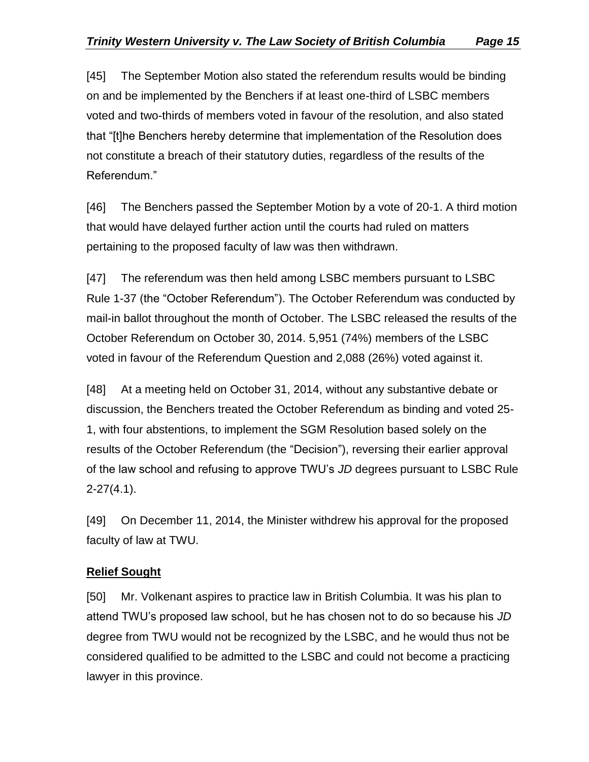[45] The September Motion also stated the referendum results would be binding on and be implemented by the Benchers if at least one-third of LSBC members voted and two-thirds of members voted in favour of the resolution, and also stated that "[t]he Benchers hereby determine that implementation of the Resolution does not constitute a breach of their statutory duties, regardless of the results of the Referendum."

[46] The Benchers passed the September Motion by a vote of 20-1. A third motion that would have delayed further action until the courts had ruled on matters pertaining to the proposed faculty of law was then withdrawn.

[47] The referendum was then held among LSBC members pursuant to LSBC Rule 1-37 (the "October Referendum"). The October Referendum was conducted by mail-in ballot throughout the month of October. The LSBC released the results of the October Referendum on October 30, 2014. 5,951 (74%) members of the LSBC voted in favour of the Referendum Question and 2,088 (26%) voted against it.

[48] At a meeting held on October 31, 2014, without any substantive debate or discussion, the Benchers treated the October Referendum as binding and voted 25- 1, with four abstentions, to implement the SGM Resolution based solely on the results of the October Referendum (the "Decision"), reversing their earlier approval of the law school and refusing to approve TWU's *JD* degrees pursuant to LSBC Rule 2-27(4.1).

[49] On December 11, 2014, the Minister withdrew his approval for the proposed faculty of law at TWU.

# <span id="page-14-0"></span>**Relief Sought**

[50] Mr. Volkenant aspires to practice law in British Columbia. It was his plan to attend TWU's proposed law school, but he has chosen not to do so because his *JD* degree from TWU would not be recognized by the LSBC, and he would thus not be considered qualified to be admitted to the LSBC and could not become a practicing lawyer in this province.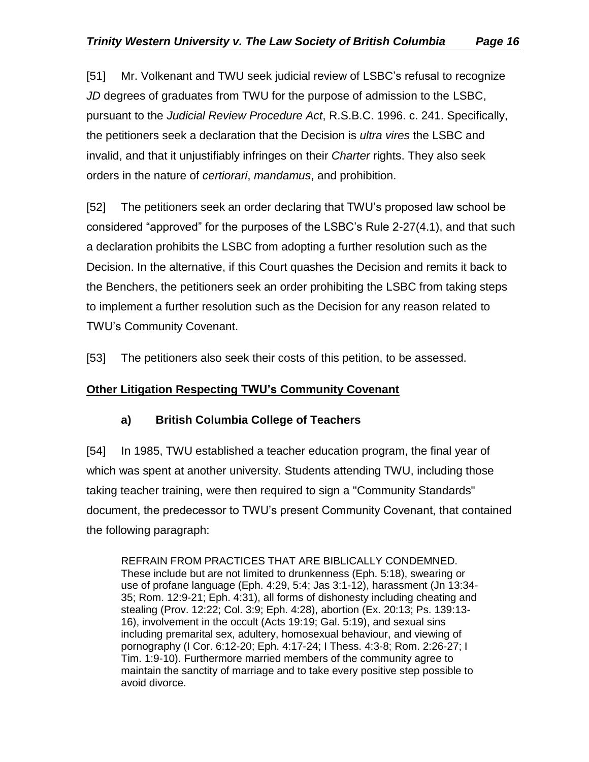[51] Mr. Volkenant and TWU seek judicial review of LSBC's refusal to recognize *JD* degrees of graduates from TWU for the purpose of admission to the LSBC, pursuant to the *Judicial Review Procedure Act*, R.S.B.C. 1996. c. 241. Specifically, the petitioners seek a declaration that the Decision is *ultra vires* the LSBC and invalid, and that it unjustifiably infringes on their *Charter* rights. They also seek orders in the nature of *certiorari*, *mandamus*, and prohibition.

[52] The petitioners seek an order declaring that TWU's proposed law school be considered "approved" for the purposes of the LSBC's Rule 2-27(4.1), and that such a declaration prohibits the LSBC from adopting a further resolution such as the Decision. In the alternative, if this Court quashes the Decision and remits it back to the Benchers, the petitioners seek an order prohibiting the LSBC from taking steps to implement a further resolution such as the Decision for any reason related to TWU's Community Covenant.

[53] The petitioners also seek their costs of this petition, to be assessed.

# <span id="page-15-0"></span>**Other Litigation Respecting TWU's Community Covenant**

# **a) British Columbia College of Teachers**

<span id="page-15-1"></span>[54] In 1985, TWU established a teacher education program, the final year of which was spent at another university. Students attending TWU, including those taking teacher training, were then required to sign a "Community Standards" document, the predecessor to TWU's present Community Covenant, that contained the following paragraph:

REFRAIN FROM PRACTICES THAT ARE BIBLICALLY CONDEMNED. These include but are not limited to drunkenness (Eph. 5:18), swearing or use of profane language (Eph. 4:29, 5:4; Jas 3:1-12), harassment (Jn 13:34- 35; Rom. 12:9-21; Eph. 4:31), all forms of dishonesty including cheating and stealing (Prov. 12:22; Col. 3:9; Eph. 4:28), abortion (Ex. 20:13; Ps. 139:13- 16), involvement in the occult (Acts 19:19; Gal. 5:19), and sexual sins including premarital sex, adultery, homosexual behaviour, and viewing of pornography (I Cor. 6:12-20; Eph. 4:17-24; I Thess. 4:3-8; Rom. 2:26-27; I Tim. 1:9-10). Furthermore married members of the community agree to maintain the sanctity of marriage and to take every positive step possible to avoid divorce.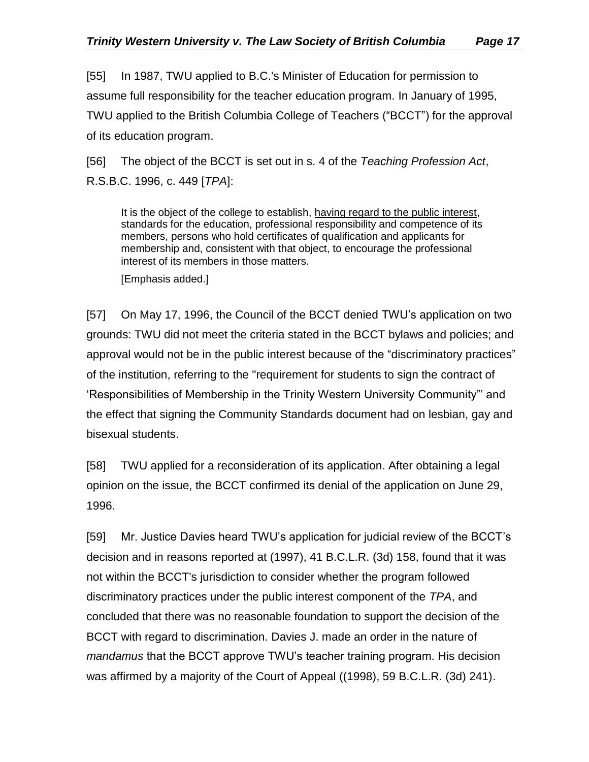[55] In 1987, TWU applied to B.C.'s Minister of Education for permission to assume full responsibility for the teacher education program. In January of 1995, TWU applied to the British Columbia College of Teachers ("BCCT") for the approval of its education program.

[56] The object of the BCCT is set out in s. 4 of the *Teaching Profession Act*, R.S.B.C. 1996, c. 449 [*TPA*]:

It is the object of the college to establish, having regard to the public interest, standards for the education, professional responsibility and competence of its members, persons who hold certificates of qualification and applicants for membership and, consistent with that object, to encourage the professional interest of its members in those matters.

[Emphasis added.]

[57] On May 17, 1996, the Council of the BCCT denied TWU's application on two grounds: TWU did not meet the criteria stated in the BCCT bylaws and policies; and approval would not be in the public interest because of the "discriminatory practices" of the institution, referring to the "requirement for students to sign the contract of 'Responsibilities of Membership in the Trinity Western University Community"' and the effect that signing the Community Standards document had on lesbian, gay and bisexual students.

[58] TWU applied for a reconsideration of its application. After obtaining a legal opinion on the issue, the BCCT confirmed its denial of the application on June 29, 1996.

[59] Mr. Justice Davies heard TWU's application for judicial review of the BCCT's decision and in reasons reported at (1997), 41 B.C.L.R. (3d) 158, found that it was not within the BCCT's jurisdiction to consider whether the program followed discriminatory practices under the public interest component of the *TPA*, and concluded that there was no reasonable foundation to support the decision of the BCCT with regard to discrimination. Davies J. made an order in the nature of *mandamus* that the BCCT approve TWU's teacher training program. His decision was affirmed by a majority of the Court of Appeal ((1998), 59 B.C.L.R. (3d) 241).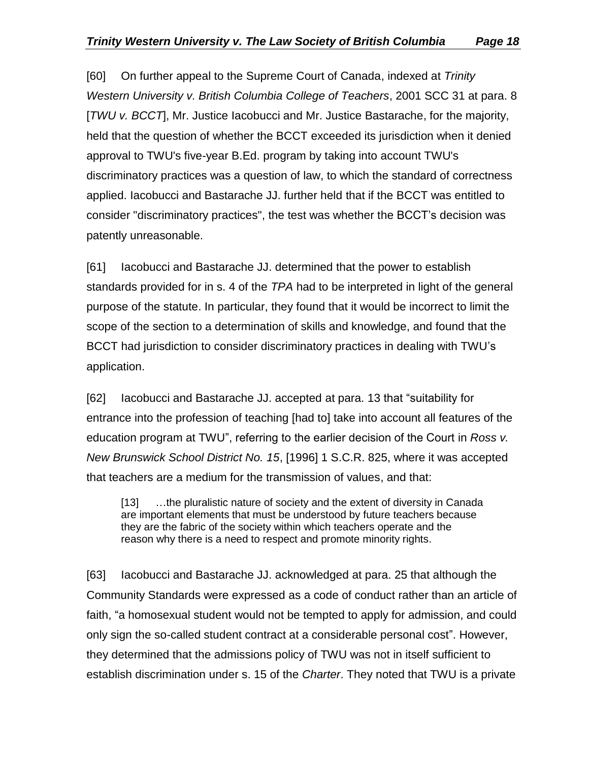[60] On further appeal to the Supreme Court of Canada, indexed at *Trinity Western University v. British Columbia College of Teachers*, 2001 SCC 31 at para. 8 [*TWU v. BCCT*], Mr. Justice Iacobucci and Mr. Justice Bastarache, for the majority, held that the question of whether the BCCT exceeded its jurisdiction when it denied approval to TWU's five-year B.Ed. program by taking into account TWU's discriminatory practices was a question of law, to which the standard of correctness applied. Iacobucci and Bastarache JJ. further held that if the BCCT was entitled to consider "discriminatory practices", the test was whether the BCCT's decision was patently unreasonable.

[61] Iacobucci and Bastarache JJ. determined that the power to establish standards provided for in s. 4 of the *TPA* had to be interpreted in light of the general purpose of the statute. In particular, they found that it would be incorrect to limit the scope of the section to a determination of skills and knowledge, and found that the BCCT had jurisdiction to consider discriminatory practices in dealing with TWU's application.

[62] Iacobucci and Bastarache JJ. accepted at para. 13 that "suitability for entrance into the profession of teaching [had to] take into account all features of the education program at TWU", referring to the earlier decision of the Court in *Ross v. New Brunswick School District No. 15*, [1996] 1 S.C.R. 825, where it was accepted that teachers are a medium for the transmission of values, and that:

[13] …the pluralistic nature of society and the extent of diversity in Canada are important elements that must be understood by future teachers because they are the fabric of the society within which teachers operate and the reason why there is a need to respect and promote minority rights.

[63] Iacobucci and Bastarache JJ. acknowledged at para. 25 that although the Community Standards were expressed as a code of conduct rather than an article of faith, "a homosexual student would not be tempted to apply for admission, and could only sign the so-called student contract at a considerable personal cost". However, they determined that the admissions policy of TWU was not in itself sufficient to establish discrimination under s. 15 of the *Charter*. They noted that TWU is a private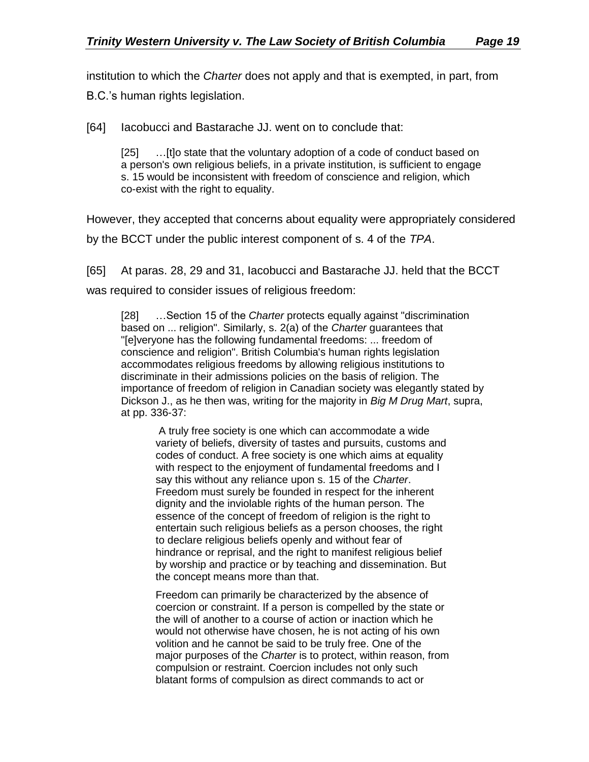institution to which the *Charter* does not apply and that is exempted, in part, from B.C.'s human rights legislation.

[64] Iacobucci and Bastarache JJ. went on to conclude that:

[25] …[t]o state that the voluntary adoption of a code of conduct based on a person's own religious beliefs, in a private institution, is sufficient to engage s. 15 would be inconsistent with freedom of conscience and religion, which co-exist with the right to equality.

However, they accepted that concerns about equality were appropriately considered by the BCCT under the public interest component of s. 4 of the *TPA*.

[65] At paras. 28, 29 and 31, Iacobucci and Bastarache JJ. held that the BCCT

was required to consider issues of religious freedom:

[28] …Section 15 of the *Charter* protects equally against "discrimination based on ... religion". Similarly, s. 2(a) of the *Charter* guarantees that "[e]veryone has the following fundamental freedoms: ... freedom of conscience and religion". British Columbia's human rights legislation accommodates religious freedoms by allowing religious institutions to discriminate in their admissions policies on the basis of religion. The importance of freedom of religion in Canadian society was elegantly stated by Dickson J., as he then was, writing for the majority in *Big M Drug Mart*, supra, at pp. 336-37:

A truly free society is one which can accommodate a wide variety of beliefs, diversity of tastes and pursuits, customs and codes of conduct. A free society is one which aims at equality with respect to the enjoyment of fundamental freedoms and I say this without any reliance upon s. 15 of the *Charter*. Freedom must surely be founded in respect for the inherent dignity and the inviolable rights of the human person. The essence of the concept of freedom of religion is the right to entertain such religious beliefs as a person chooses, the right to declare religious beliefs openly and without fear of hindrance or reprisal, and the right to manifest religious belief by worship and practice or by teaching and dissemination. But the concept means more than that.

Freedom can primarily be characterized by the absence of coercion or constraint. If a person is compelled by the state or the will of another to a course of action or inaction which he would not otherwise have chosen, he is not acting of his own volition and he cannot be said to be truly free. One of the major purposes of the *Charter* is to protect, within reason, from compulsion or restraint. Coercion includes not only such blatant forms of compulsion as direct commands to act or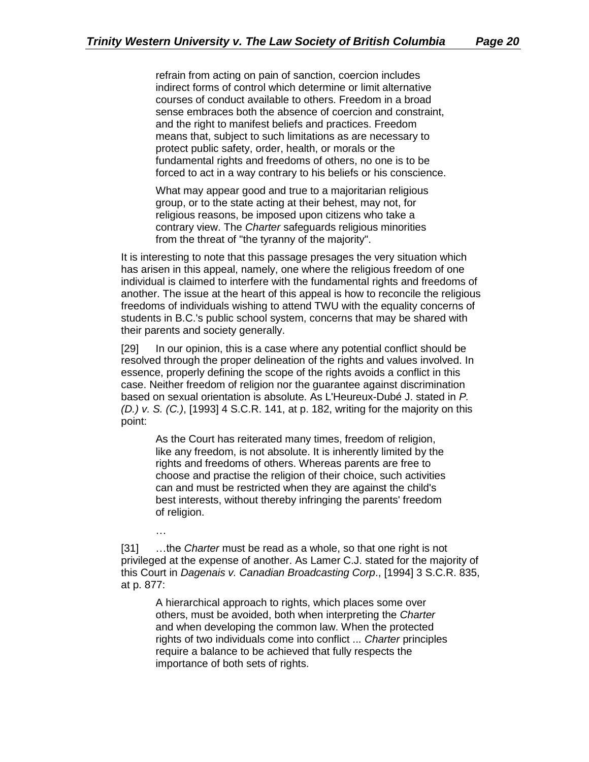refrain from acting on pain of sanction, coercion includes indirect forms of control which determine or limit alternative courses of conduct available to others. Freedom in a broad sense embraces both the absence of coercion and constraint, and the right to manifest beliefs and practices. Freedom means that, subject to such limitations as are necessary to protect public safety, order, health, or morals or the fundamental rights and freedoms of others, no one is to be forced to act in a way contrary to his beliefs or his conscience.

What may appear good and true to a majoritarian religious group, or to the state acting at their behest, may not, for religious reasons, be imposed upon citizens who take a contrary view. The *Charter* safeguards religious minorities from the threat of "the tyranny of the majority".

It is interesting to note that this passage presages the very situation which has arisen in this appeal, namely, one where the religious freedom of one individual is claimed to interfere with the fundamental rights and freedoms of another. The issue at the heart of this appeal is how to reconcile the religious freedoms of individuals wishing to attend TWU with the equality concerns of students in B.C.'s public school system, concerns that may be shared with their parents and society generally.

[29] In our opinion, this is a case where any potential conflict should be resolved through the proper delineation of the rights and values involved. In essence, properly defining the scope of the rights avoids a conflict in this case. Neither freedom of religion nor the guarantee against discrimination based on sexual orientation is absolute. As L'Heureux-Dubé J. stated in *P. (D.) v. S. (C.)*, [1993] 4 S.C.R. 141, at p. 182, writing for the majority on this point:

As the Court has reiterated many times, freedom of religion, like any freedom, is not absolute. It is inherently limited by the rights and freedoms of others. Whereas parents are free to choose and practise the religion of their choice, such activities can and must be restricted when they are against the child's best interests, without thereby infringing the parents' freedom of religion.

[31] …the *Charter* must be read as a whole, so that one right is not privileged at the expense of another. As Lamer C.J. stated for the majority of this Court in *Dagenais v. Canadian Broadcasting Corp*., [1994] 3 S.C.R. 835, at p. 877:

…

A hierarchical approach to rights, which places some over others, must be avoided, both when interpreting the *Charter* and when developing the common law. When the protected rights of two individuals come into conflict ... *Charter* principles require a balance to be achieved that fully respects the importance of both sets of rights.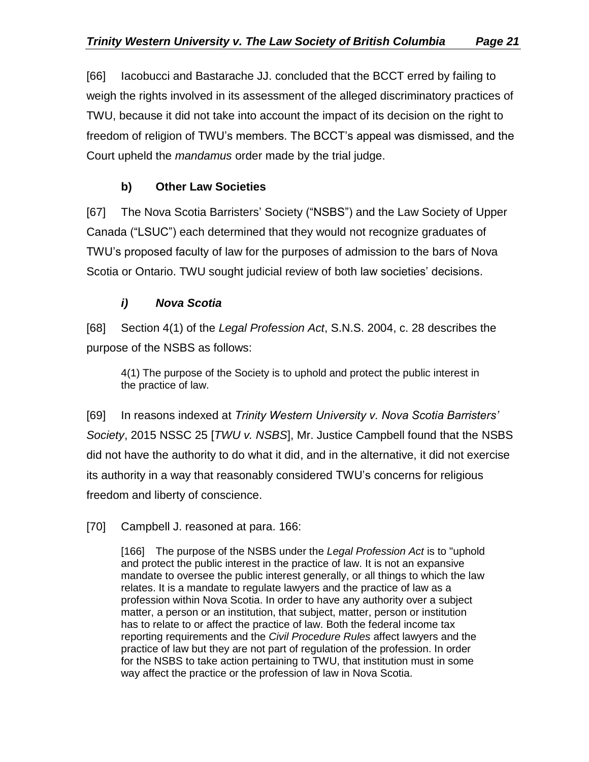[66] Iacobucci and Bastarache JJ. concluded that the BCCT erred by failing to weigh the rights involved in its assessment of the alleged discriminatory practices of TWU, because it did not take into account the impact of its decision on the right to freedom of religion of TWU's members. The BCCT's appeal was dismissed, and the Court upheld the *mandamus* order made by the trial judge.

#### **b) Other Law Societies**

<span id="page-20-0"></span>[67] The Nova Scotia Barristers' Society ("NSBS") and the Law Society of Upper Canada ("LSUC") each determined that they would not recognize graduates of TWU's proposed faculty of law for the purposes of admission to the bars of Nova Scotia or Ontario. TWU sought judicial review of both law societies' decisions.

#### *i) Nova Scotia*

<span id="page-20-1"></span>[68] Section 4(1) of the *Legal Profession Act*, S.N.S. 2004, c. 28 describes the purpose of the NSBS as follows:

4(1) The purpose of the Society is to uphold and protect the public interest in the practice of law.

[69] In reasons indexed at *Trinity Western University v. Nova Scotia Barristers' Society*, 2015 NSSC 25 [*TWU v. NSBS*], Mr. Justice Campbell found that the NSBS did not have the authority to do what it did, and in the alternative, it did not exercise its authority in a way that reasonably considered TWU's concerns for religious freedom and liberty of conscience.

[70] Campbell J. reasoned at para. 166:

[166] The purpose of the NSBS under the *Legal Profession Act* is to "uphold and protect the public interest in the practice of law. It is not an expansive mandate to oversee the public interest generally, or all things to which the law relates. It is a mandate to regulate lawyers and the practice of law as a profession within Nova Scotia. In order to have any authority over a subject matter, a person or an institution, that subject, matter, person or institution has to relate to or affect the practice of law. Both the federal income tax reporting requirements and the *Civil Procedure Rules* affect lawyers and the practice of law but they are not part of regulation of the profession. In order for the NSBS to take action pertaining to TWU, that institution must in some way affect the practice or the profession of law in Nova Scotia.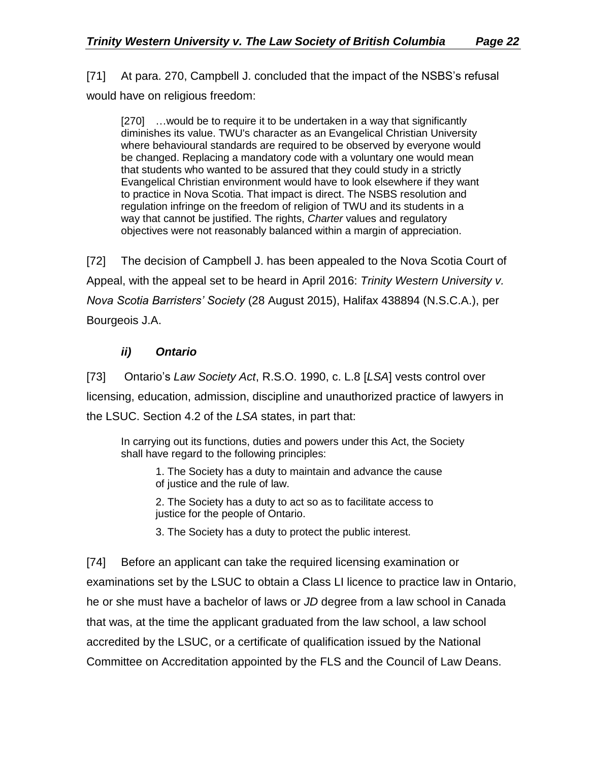[71] At para. 270, Campbell J. concluded that the impact of the NSBS's refusal would have on religious freedom:

[270] ... would be to require it to be undertaken in a way that significantly diminishes its value. TWU's character as an Evangelical Christian University where behavioural standards are required to be observed by everyone would be changed. Replacing a mandatory code with a voluntary one would mean that students who wanted to be assured that they could study in a strictly Evangelical Christian environment would have to look elsewhere if they want to practice in Nova Scotia. That impact is direct. The NSBS resolution and regulation infringe on the freedom of religion of TWU and its students in a way that cannot be justified. The rights, *Charter* values and regulatory objectives were not reasonably balanced within a margin of appreciation.

[72] The decision of Campbell J. has been appealed to the Nova Scotia Court of Appeal, with the appeal set to be heard in April 2016: *Trinity Western University v. Nova Scotia Barristers' Society* (28 August 2015), Halifax 438894 (N.S.C.A.), per Bourgeois J.A.

# *ii) Ontario*

<span id="page-21-0"></span>[73] Ontario's *Law Society Act*, R.S.O. 1990, c. L.8 [*LSA*] vests control over licensing, education, admission, discipline and unauthorized practice of lawyers in the LSUC. Section 4.2 of the *LSA* states, in part that:

In carrying out its functions, duties and powers under this Act, the Society shall have regard to the following principles:

> 1. The Society has a duty to maintain and advance the cause of justice and the rule of law.

2. The Society has a duty to act so as to facilitate access to justice for the people of Ontario.

3. The Society has a duty to protect the public interest.

[74] Before an applicant can take the required licensing examination or examinations set by the LSUC to obtain a Class LI licence to practice law in Ontario, he or she must have a bachelor of laws or *JD* degree from a law school in Canada that was, at the time the applicant graduated from the law school, a law school accredited by the LSUC, or a certificate of qualification issued by the National Committee on Accreditation appointed by the FLS and the Council of Law Deans.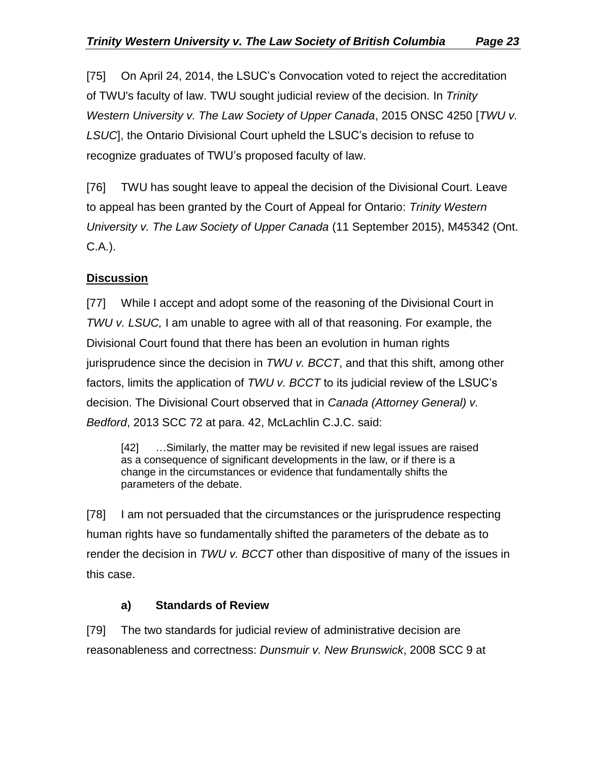[75] On April 24, 2014, the LSUC's Convocation voted to reject the accreditation of TWU's faculty of law. TWU sought judicial review of the decision. In *Trinity Western University v. The Law Society of Upper Canada*, 2015 ONSC 4250 [*TWU v. LSUC*], the Ontario Divisional Court upheld the LSUC's decision to refuse to recognize graduates of TWU's proposed faculty of law.

[76] TWU has sought leave to appeal the decision of the Divisional Court. Leave to appeal has been granted by the Court of Appeal for Ontario: *Trinity Western University v. The Law Society of Upper Canada* (11 September 2015), M45342 (Ont. C.A.).

# <span id="page-22-0"></span>**Discussion**

[77] While I accept and adopt some of the reasoning of the Divisional Court in *TWU v. LSUC,* I am unable to agree with all of that reasoning. For example, the Divisional Court found that there has been an evolution in human rights jurisprudence since the decision in *TWU v. BCCT*, and that this shift, among other factors, limits the application of *TWU v. BCCT* to its judicial review of the LSUC's decision. The Divisional Court observed that in *Canada (Attorney General) v. Bedford*, 2013 SCC 72 at para. 42, McLachlin C.J.C. said:

[42] ...Similarly, the matter may be revisited if new legal issues are raised as a consequence of significant developments in the law, or if there is a change in the circumstances or evidence that fundamentally shifts the parameters of the debate.

[78] I am not persuaded that the circumstances or the jurisprudence respecting human rights have so fundamentally shifted the parameters of the debate as to render the decision in *TWU v. BCCT* other than dispositive of many of the issues in this case.

#### **a) Standards of Review**

<span id="page-22-1"></span>[79] The two standards for judicial review of administrative decision are reasonableness and correctness: *Dunsmuir v. New Brunswick*, 2008 SCC 9 at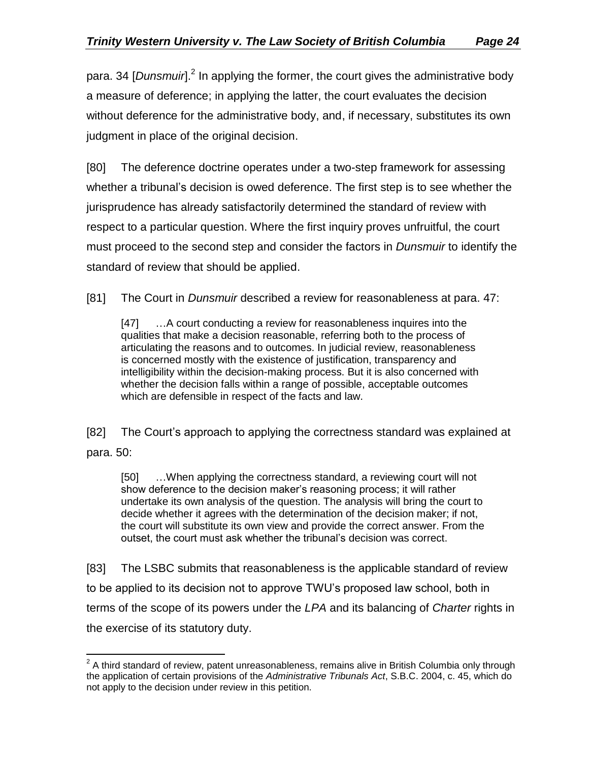para. 34 [*Dunsmuir*].<sup>2</sup> In applying the former, the court gives the administrative body a measure of deference; in applying the latter, the court evaluates the decision without deference for the administrative body, and, if necessary, substitutes its own judgment in place of the original decision.

[80] The deference doctrine operates under a two-step framework for assessing whether a tribunal's decision is owed deference. The first step is to see whether the jurisprudence has already satisfactorily determined the standard of review with respect to a particular question. Where the first inquiry proves unfruitful, the court must proceed to the second step and consider the factors in *Dunsmuir* to identify the standard of review that should be applied.

[81] The Court in *Dunsmuir* described a review for reasonableness at para. 47:

[47] ... A court conducting a review for reasonableness inquires into the qualities that make a decision reasonable, referring both to the process of articulating the reasons and to outcomes. In judicial review, reasonableness is concerned mostly with the existence of justification, transparency and intelligibility within the decision-making process. But it is also concerned with whether the decision falls within a range of possible, acceptable outcomes which are defensible in respect of the facts and law.

[82] The Court's approach to applying the correctness standard was explained at para. 50:

[50] …When applying the correctness standard, a reviewing court will not show deference to the decision maker's reasoning process; it will rather undertake its own analysis of the question. The analysis will bring the court to decide whether it agrees with the determination of the decision maker; if not, the court will substitute its own view and provide the correct answer. From the outset, the court must ask whether the tribunal's decision was correct.

[83] The LSBC submits that reasonableness is the applicable standard of review to be applied to its decision not to approve TWU's proposed law school, both in terms of the scope of its powers under the *LPA* and its balancing of *Charter* rights in the exercise of its statutory duty.

l

 $2$  A third standard of review, patent unreasonableness, remains alive in British Columbia only through the application of certain provisions of the *Administrative Tribunals Act*, S.B.C. 2004, c. 45, which do not apply to the decision under review in this petition.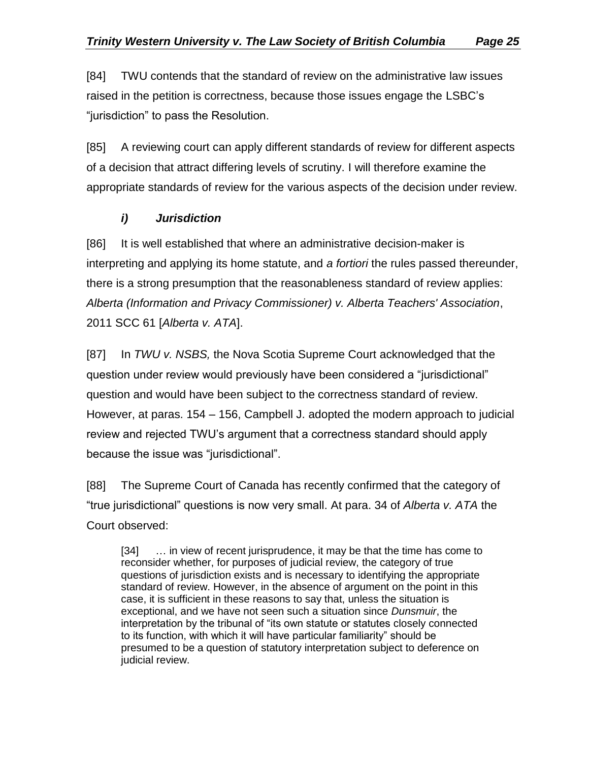[84] TWU contends that the standard of review on the administrative law issues raised in the petition is correctness, because those issues engage the LSBC's "jurisdiction" to pass the Resolution.

[85] A reviewing court can apply different standards of review for different aspects of a decision that attract differing levels of scrutiny. I will therefore examine the appropriate standards of review for the various aspects of the decision under review.

# *i) Jurisdiction*

<span id="page-24-0"></span>[86] It is well established that where an administrative decision-maker is interpreting and applying its home statute, and *a fortiori* the rules passed thereunder, there is a strong presumption that the reasonableness standard of review applies: *Alberta (Information and Privacy Commissioner) v. Alberta Teachers' Association*, 2011 SCC 61 [*Alberta v. ATA*].

[87] In *TWU v. NSBS,* the Nova Scotia Supreme Court acknowledged that the question under review would previously have been considered a "jurisdictional" question and would have been subject to the correctness standard of review. However, at paras. 154 – 156, Campbell J. adopted the modern approach to judicial review and rejected TWU's argument that a correctness standard should apply because the issue was "jurisdictional".

[88] The Supreme Court of Canada has recently confirmed that the category of "true jurisdictional" questions is now very small. At para. 34 of *Alberta v. ATA* the Court observed:

[34] … in view of recent jurisprudence, it may be that the time has come to reconsider whether, for purposes of judicial review, the category of true questions of jurisdiction exists and is necessary to identifying the appropriate standard of review. However, in the absence of argument on the point in this case, it is sufficient in these reasons to say that, unless the situation is exceptional, and we have not seen such a situation since *Dunsmuir*, the interpretation by the tribunal of "its own statute or statutes closely connected to its function, with which it will have particular familiarity" should be presumed to be a question of statutory interpretation subject to deference on judicial review.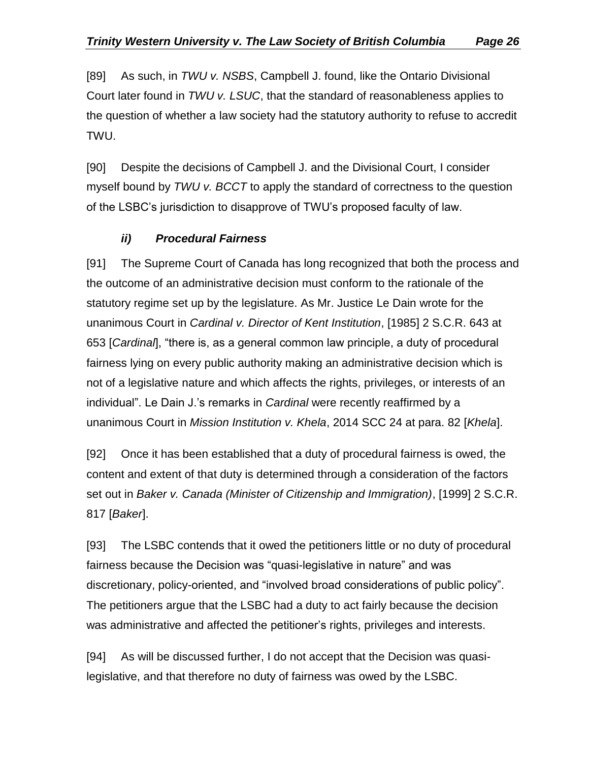[89] As such, in *TWU v. NSBS*, Campbell J. found, like the Ontario Divisional Court later found in *TWU v. LSUC*, that the standard of reasonableness applies to the question of whether a law society had the statutory authority to refuse to accredit TWU.

[90] Despite the decisions of Campbell J. and the Divisional Court, I consider myself bound by *TWU v. BCCT* to apply the standard of correctness to the question of the LSBC's jurisdiction to disapprove of TWU's proposed faculty of law.

#### *ii) Procedural Fairness*

<span id="page-25-0"></span>[91] The Supreme Court of Canada has long recognized that both the process and the outcome of an administrative decision must conform to the rationale of the statutory regime set up by the legislature. As Mr. Justice Le Dain wrote for the unanimous Court in *Cardinal v. Director of Kent Institution*, [1985] 2 S.C.R. 643 at 653 [*Cardinal*], "there is, as a general common law principle, a duty of procedural fairness lying on every public authority making an administrative decision which is not of a legislative nature and which affects the rights, privileges, or interests of an individual". Le Dain J.'s remarks in *Cardinal* were recently reaffirmed by a unanimous Court in *Mission Institution v. Khela*, 2014 SCC 24 at para. 82 [*Khela*].

[92] Once it has been established that a duty of procedural fairness is owed, the content and extent of that duty is determined through a consideration of the factors set out in *Baker v. Canada (Minister of Citizenship and Immigration)*, [1999] 2 S.C.R. 817 [*Baker*].

[93] The LSBC contends that it owed the petitioners little or no duty of procedural fairness because the Decision was "quasi-legislative in nature" and was discretionary, policy-oriented, and "involved broad considerations of public policy". The petitioners argue that the LSBC had a duty to act fairly because the decision was administrative and affected the petitioner's rights, privileges and interests.

[94] As will be discussed further, I do not accept that the Decision was quasilegislative, and that therefore no duty of fairness was owed by the LSBC.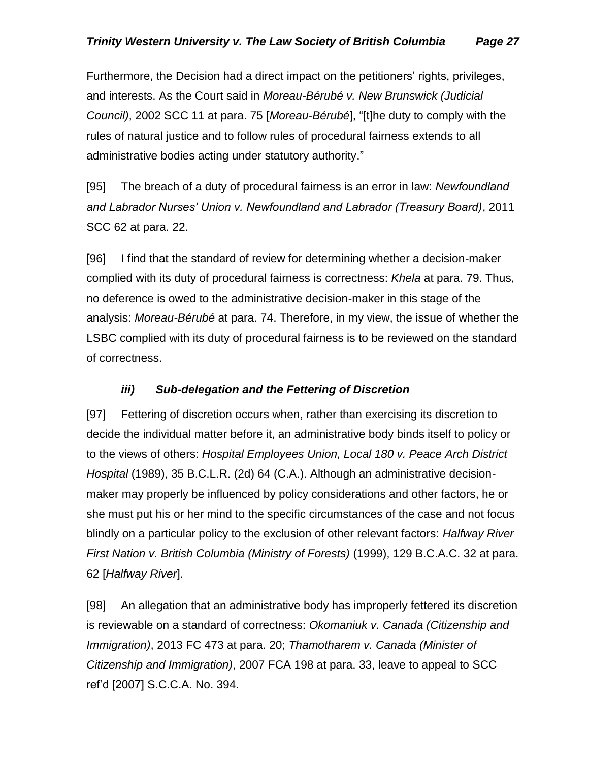Furthermore, the Decision had a direct impact on the petitioners' rights, privileges, and interests. As the Court said in *Moreau-Bérubé v. New Brunswick (Judicial Council)*, 2002 SCC 11 at para. 75 [*Moreau-Bérubé*], "[t]he duty to comply with the rules of natural justice and to follow rules of procedural fairness extends to all administrative bodies acting under statutory authority."

[95] The breach of a duty of procedural fairness is an error in law: *Newfoundland and Labrador Nurses' Union v. Newfoundland and Labrador (Treasury Board)*, 2011 SCC 62 at para. 22.

[96] I find that the standard of review for determining whether a decision-maker complied with its duty of procedural fairness is correctness: *Khela* at para. 79. Thus, no deference is owed to the administrative decision-maker in this stage of the analysis: *Moreau-Bérubé* at para. 74. Therefore, in my view, the issue of whether the LSBC complied with its duty of procedural fairness is to be reviewed on the standard of correctness.

# *iii) Sub-delegation and the Fettering of Discretion*

<span id="page-26-0"></span>[97] Fettering of discretion occurs when, rather than exercising its discretion to decide the individual matter before it, an administrative body binds itself to policy or to the views of others: *Hospital Employees Union, Local 180 v. Peace Arch District Hospital* (1989), 35 B.C.L.R. (2d) 64 (C.A.). Although an administrative decisionmaker may properly be influenced by policy considerations and other factors, he or she must put his or her mind to the specific circumstances of the case and not focus blindly on a particular policy to the exclusion of other relevant factors: *Halfway River First Nation v. British Columbia (Ministry of Forests)* (1999), 129 B.C.A.C. 32 at para. 62 [*Halfway River*].

[98] An allegation that an administrative body has improperly fettered its discretion is reviewable on a standard of correctness: *Okomaniuk v. Canada (Citizenship and Immigration)*, 2013 FC 473 at para. 20; *Thamotharem v. Canada (Minister of Citizenship and Immigration)*, 2007 FCA 198 at para. 33, leave to appeal to SCC ref'd [2007] S.C.C.A. No. 394.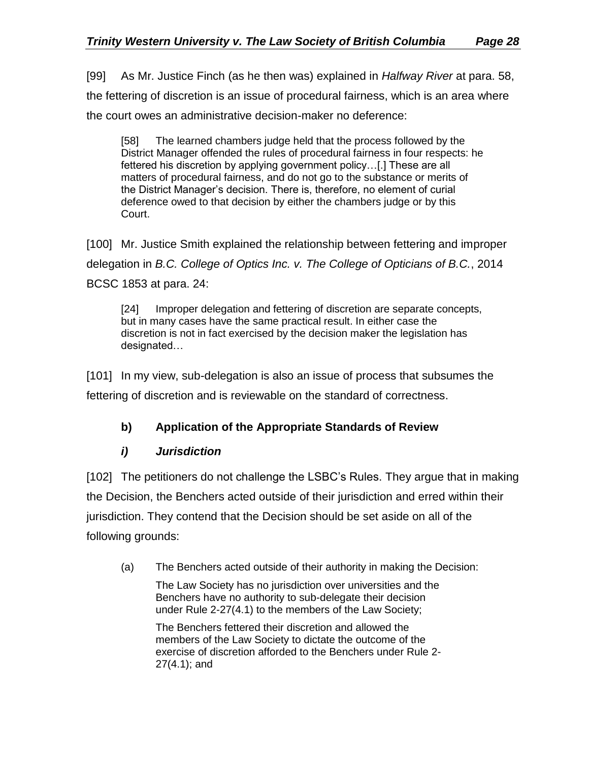[99] As Mr. Justice Finch (as he then was) explained in *Halfway River* at para. 58, the fettering of discretion is an issue of procedural fairness, which is an area where the court owes an administrative decision-maker no deference:

[58] The learned chambers judge held that the process followed by the District Manager offended the rules of procedural fairness in four respects: he fettered his discretion by applying government policy…[.] These are all matters of procedural fairness, and do not go to the substance or merits of the District Manager's decision. There is, therefore, no element of curial deference owed to that decision by either the chambers judge or by this Court.

[100] Mr. Justice Smith explained the relationship between fettering and improper delegation in *B.C. College of Optics Inc. v. The College of Opticians of B.C.*, 2014 BCSC 1853 at para. 24:

[24] Improper delegation and fettering of discretion are separate concepts, but in many cases have the same practical result. In either case the discretion is not in fact exercised by the decision maker the legislation has designated…

[101] In my view, sub-delegation is also an issue of process that subsumes the fettering of discretion and is reviewable on the standard of correctness.

# <span id="page-27-0"></span>**b) Application of the Appropriate Standards of Review**

# *i) Jurisdiction*

<span id="page-27-1"></span>[102] The petitioners do not challenge the LSBC's Rules. They argue that in making the Decision, the Benchers acted outside of their jurisdiction and erred within their jurisdiction. They contend that the Decision should be set aside on all of the following grounds:

(a) The Benchers acted outside of their authority in making the Decision:

The Law Society has no jurisdiction over universities and the Benchers have no authority to sub-delegate their decision under Rule 2-27(4.1) to the members of the Law Society;

The Benchers fettered their discretion and allowed the members of the Law Society to dictate the outcome of the exercise of discretion afforded to the Benchers under Rule 2- 27(4.1); and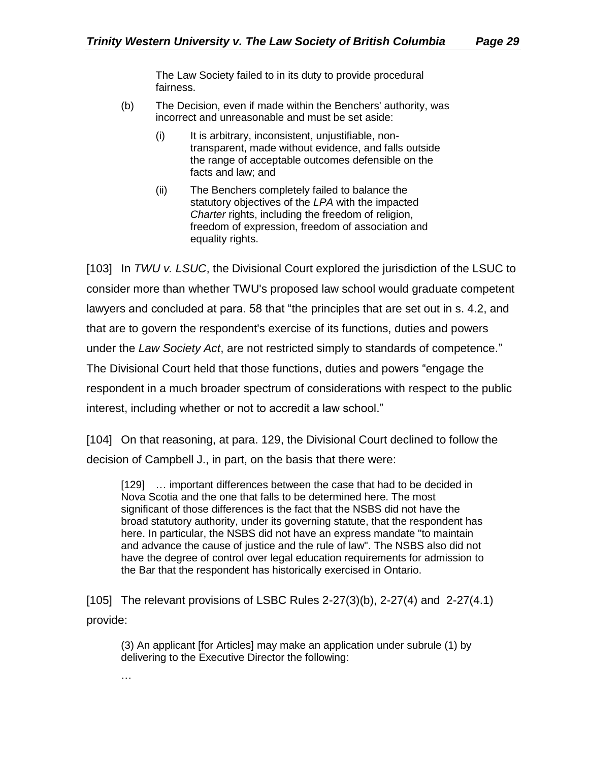The Law Society failed to in its duty to provide procedural fairness.

- (b) The Decision, even if made within the Benchers' authority, was incorrect and unreasonable and must be set aside:
	- (i) It is arbitrary, inconsistent, unjustifiable, nontransparent, made without evidence, and falls outside the range of acceptable outcomes defensible on the facts and law; and
	- (ii) The Benchers completely failed to balance the statutory objectives of the *LPA* with the impacted *Charter* rights, including the freedom of religion, freedom of expression, freedom of association and equality rights.

[103] In *TWU v. LSUC*, the Divisional Court explored the jurisdiction of the LSUC to consider more than whether TWU's proposed law school would graduate competent lawyers and concluded at para. 58 that "the principles that are set out in s. 4.2, and that are to govern the respondent's exercise of its functions, duties and powers under the *Law Society Act*, are not restricted simply to standards of competence." The Divisional Court held that those functions, duties and powers "engage the respondent in a much broader spectrum of considerations with respect to the public interest, including whether or not to accredit a law school."

[104] On that reasoning, at para. 129, the Divisional Court declined to follow the decision of Campbell J., in part, on the basis that there were:

[129] … important differences between the case that had to be decided in Nova Scotia and the one that falls to be determined here. The most significant of those differences is the fact that the NSBS did not have the broad statutory authority, under its governing statute, that the respondent has here. In particular, the NSBS did not have an express mandate "to maintain and advance the cause of justice and the rule of law". The NSBS also did not have the degree of control over legal education requirements for admission to the Bar that the respondent has historically exercised in Ontario.

[105] The relevant provisions of LSBC Rules 2-27(3)(b), 2-27(4) and 2-27(4.1) provide:

(3) An applicant [for Articles] may make an application under subrule (1) by delivering to the Executive Director the following:

…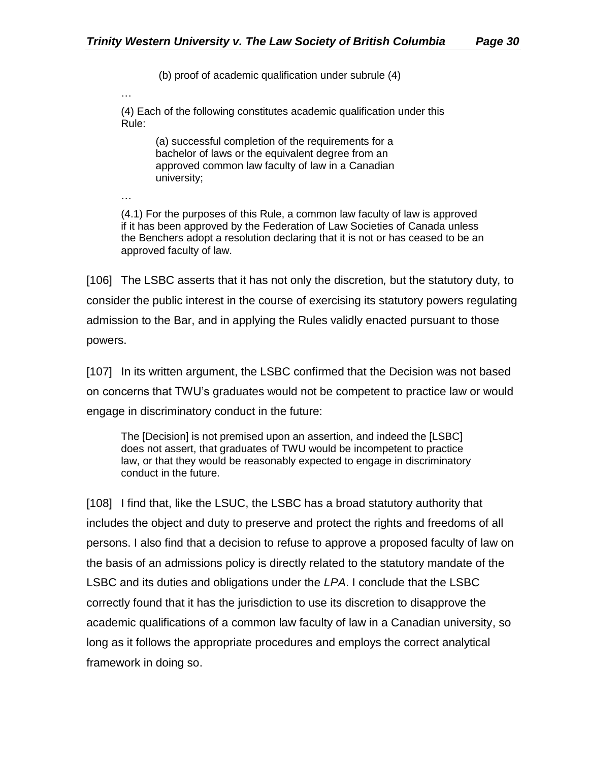(b) proof of academic qualification under subrule (4)

…

(4) Each of the following constitutes academic qualification under this Rule:

> (a) successful completion of the requirements for a bachelor of laws or the equivalent degree from an approved common law faculty of law in a Canadian university;

…

(4.1) For the purposes of this Rule, a common law faculty of law is approved if it has been approved by the Federation of Law Societies of Canada unless the Benchers adopt a resolution declaring that it is not or has ceased to be an approved faculty of law.

[106] The LSBC asserts that it has not only the discretion*,* but the statutory duty*,* to consider the public interest in the course of exercising its statutory powers regulating admission to the Bar, and in applying the Rules validly enacted pursuant to those powers.

[107] In its written argument, the LSBC confirmed that the Decision was not based on concerns that TWU's graduates would not be competent to practice law or would engage in discriminatory conduct in the future:

The [Decision] is not premised upon an assertion, and indeed the [LSBC] does not assert, that graduates of TWU would be incompetent to practice law, or that they would be reasonably expected to engage in discriminatory conduct in the future.

[108] I find that, like the LSUC, the LSBC has a broad statutory authority that includes the object and duty to preserve and protect the rights and freedoms of all persons. I also find that a decision to refuse to approve a proposed faculty of law on the basis of an admissions policy is directly related to the statutory mandate of the LSBC and its duties and obligations under the *LPA*. I conclude that the LSBC correctly found that it has the jurisdiction to use its discretion to disapprove the academic qualifications of a common law faculty of law in a Canadian university, so long as it follows the appropriate procedures and employs the correct analytical framework in doing so.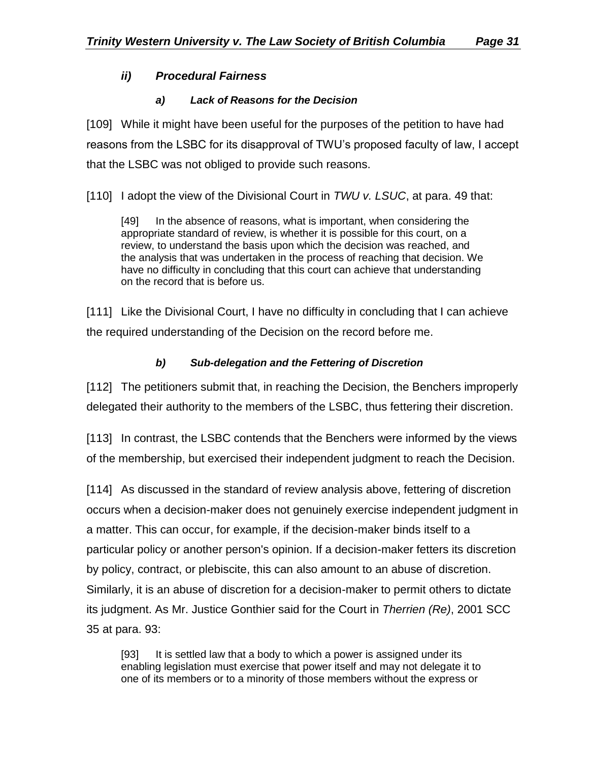#### <span id="page-30-0"></span>*ii) Procedural Fairness*

#### *a) Lack of Reasons for the Decision*

[109] While it might have been useful for the purposes of the petition to have had reasons from the LSBC for its disapproval of TWU's proposed faculty of law, I accept that the LSBC was not obliged to provide such reasons.

[110] I adopt the view of the Divisional Court in *TWU v. LSUC*, at para. 49 that:

[49] In the absence of reasons, what is important, when considering the appropriate standard of review, is whether it is possible for this court, on a review, to understand the basis upon which the decision was reached, and the analysis that was undertaken in the process of reaching that decision. We have no difficulty in concluding that this court can achieve that understanding on the record that is before us.

[111] Like the Divisional Court, I have no difficulty in concluding that I can achieve the required understanding of the Decision on the record before me.

#### *b) Sub-delegation and the Fettering of Discretion*

[112] The petitioners submit that, in reaching the Decision, the Benchers improperly delegated their authority to the members of the LSBC, thus fettering their discretion.

[113] In contrast, the LSBC contends that the Benchers were informed by the views of the membership, but exercised their independent judgment to reach the Decision.

[114] As discussed in the standard of review analysis above, fettering of discretion occurs when a decision-maker does not genuinely exercise independent judgment in a matter. This can occur, for example, if the decision-maker binds itself to a particular policy or another person's opinion. If a decision-maker fetters its discretion by policy, contract, or plebiscite, this can also amount to an abuse of discretion. Similarly, it is an abuse of discretion for a decision-maker to permit others to dictate its judgment. As Mr. Justice Gonthier said for the Court in *Therrien (Re)*, 2001 SCC 35 at para. 93:

[93] It is settled law that a body to which a power is assigned under its enabling legislation must exercise that power itself and may not delegate it to one of its members or to a minority of those members without the express or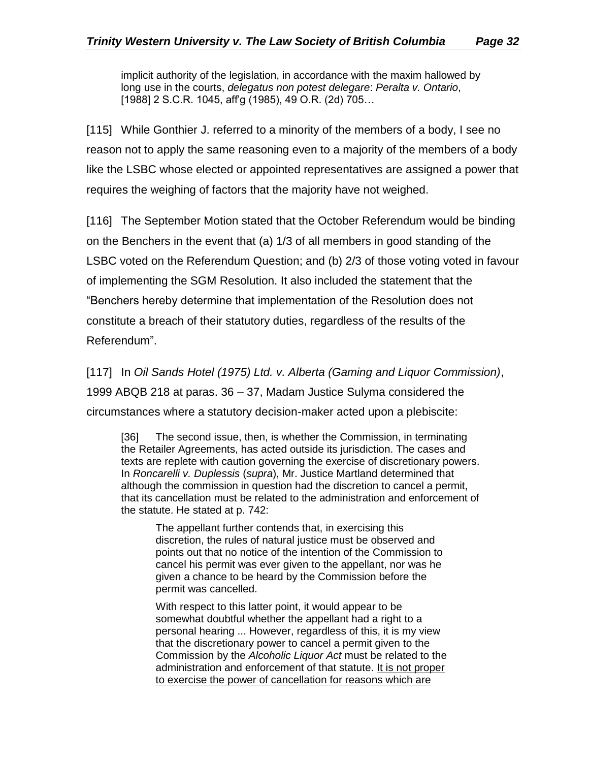implicit authority of the legislation, in accordance with the maxim hallowed by long use in the courts, *delegatus non potest delegare*: *Peralta v. Ontario*, [1988] 2 S.C.R. 1045, aff'g (1985), 49 O.R. (2d) 705…

[115] While Gonthier J. referred to a minority of the members of a body, I see no reason not to apply the same reasoning even to a majority of the members of a body like the LSBC whose elected or appointed representatives are assigned a power that requires the weighing of factors that the majority have not weighed.

[116] The September Motion stated that the October Referendum would be binding on the Benchers in the event that (a) 1/3 of all members in good standing of the LSBC voted on the Referendum Question; and (b) 2/3 of those voting voted in favour of implementing the SGM Resolution. It also included the statement that the "Benchers hereby determine that implementation of the Resolution does not constitute a breach of their statutory duties, regardless of the results of the Referendum".

[117] In *Oil Sands Hotel (1975) Ltd. v. Alberta (Gaming and Liquor Commission)*, 1999 ABQB 218 at paras. 36 – 37, Madam Justice Sulyma considered the circumstances where a statutory decision-maker acted upon a plebiscite:

[36] The second issue, then, is whether the Commission, in terminating the Retailer Agreements, has acted outside its jurisdiction. The cases and texts are replete with caution governing the exercise of discretionary powers. In *Roncarelli v. Duplessis* (*supra*), Mr. Justice Martland determined that although the commission in question had the discretion to cancel a permit, that its cancellation must be related to the administration and enforcement of the statute. He stated at p. 742:

The appellant further contends that, in exercising this discretion, the rules of natural justice must be observed and points out that no notice of the intention of the Commission to cancel his permit was ever given to the appellant, nor was he given a chance to be heard by the Commission before the permit was cancelled.

With respect to this latter point, it would appear to be somewhat doubtful whether the appellant had a right to a personal hearing ... However, regardless of this, it is my view that the discretionary power to cancel a permit given to the Commission by the *Alcoholic Liquor Act* must be related to the administration and enforcement of that statute. It is not proper to exercise the power of cancellation for reasons which are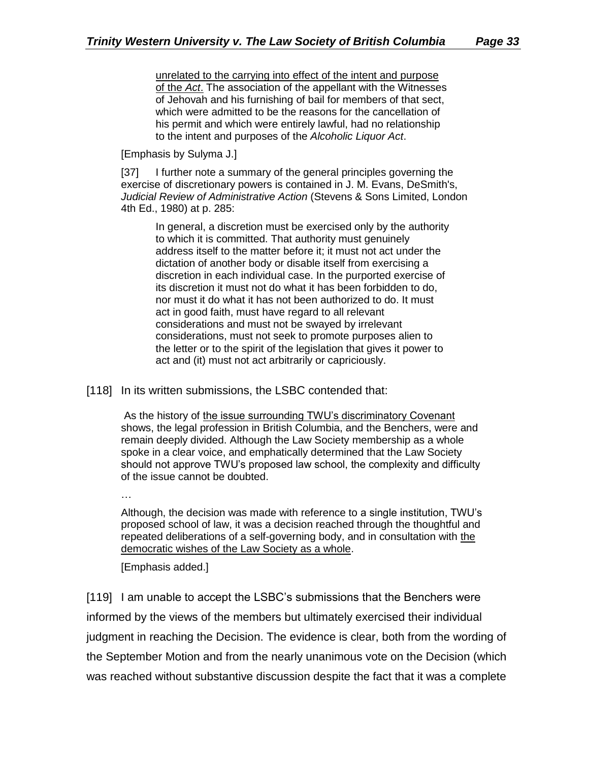unrelated to the carrying into effect of the intent and purpose of the *Act*. The association of the appellant with the Witnesses of Jehovah and his furnishing of bail for members of that sect, which were admitted to be the reasons for the cancellation of his permit and which were entirely lawful, had no relationship to the intent and purposes of the *Alcoholic Liquor Act*.

[Emphasis by Sulyma J.]

[37] I further note a summary of the general principles governing the exercise of discretionary powers is contained in J. M. Evans, DeSmith's, *Judicial Review of Administrative Action* (Stevens & Sons Limited, London 4th Ed., 1980) at p. 285:

> In general, a discretion must be exercised only by the authority to which it is committed. That authority must genuinely address itself to the matter before it; it must not act under the dictation of another body or disable itself from exercising a discretion in each individual case. In the purported exercise of its discretion it must not do what it has been forbidden to do, nor must it do what it has not been authorized to do. It must act in good faith, must have regard to all relevant considerations and must not be swayed by irrelevant considerations, must not seek to promote purposes alien to the letter or to the spirit of the legislation that gives it power to act and (it) must not act arbitrarily or capriciously.

[118] In its written submissions, the LSBC contended that:

As the history of the issue surrounding TWU's discriminatory Covenant shows, the legal profession in British Columbia, and the Benchers, were and remain deeply divided. Although the Law Society membership as a whole spoke in a clear voice, and emphatically determined that the Law Society should not approve TWU's proposed law school, the complexity and difficulty of the issue cannot be doubted.

…

Although, the decision was made with reference to a single institution, TWU's proposed school of law, it was a decision reached through the thoughtful and repeated deliberations of a self-governing body, and in consultation with the democratic wishes of the Law Society as a whole.

[Emphasis added.]

[119] I am unable to accept the LSBC's submissions that the Benchers were informed by the views of the members but ultimately exercised their individual judgment in reaching the Decision. The evidence is clear, both from the wording of the September Motion and from the nearly unanimous vote on the Decision (which was reached without substantive discussion despite the fact that it was a complete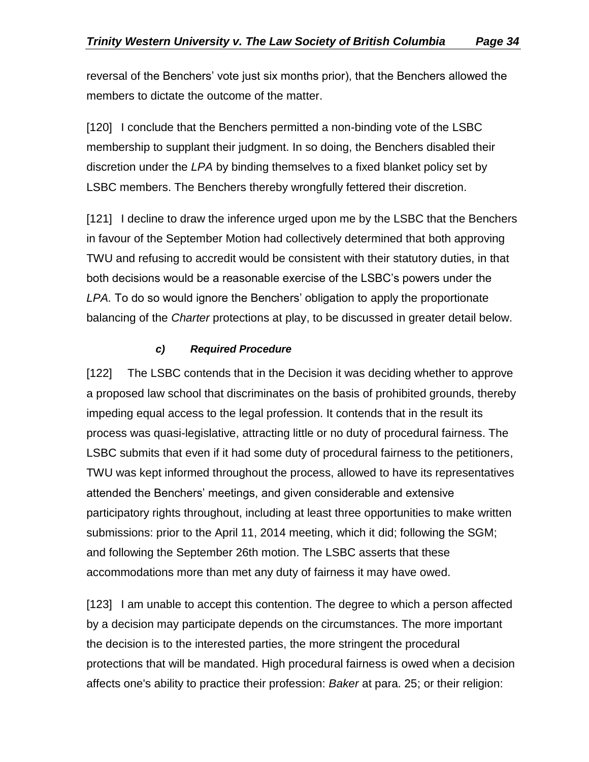reversal of the Benchers' vote just six months prior), that the Benchers allowed the members to dictate the outcome of the matter.

[120] I conclude that the Benchers permitted a non-binding vote of the LSBC membership to supplant their judgment. In so doing, the Benchers disabled their discretion under the *LPA* by binding themselves to a fixed blanket policy set by LSBC members. The Benchers thereby wrongfully fettered their discretion.

[121] I decline to draw the inference urged upon me by the LSBC that the Benchers in favour of the September Motion had collectively determined that both approving TWU and refusing to accredit would be consistent with their statutory duties, in that both decisions would be a reasonable exercise of the LSBC's powers under the *LPA.* To do so would ignore the Benchers' obligation to apply the proportionate balancing of the *Charter* protections at play, to be discussed in greater detail below.

#### *c) Required Procedure*

[122] The LSBC contends that in the Decision it was deciding whether to approve a proposed law school that discriminates on the basis of prohibited grounds, thereby impeding equal access to the legal profession. It contends that in the result its process was quasi-legislative, attracting little or no duty of procedural fairness. The LSBC submits that even if it had some duty of procedural fairness to the petitioners, TWU was kept informed throughout the process, allowed to have its representatives attended the Benchers' meetings, and given considerable and extensive participatory rights throughout, including at least three opportunities to make written submissions: prior to the April 11, 2014 meeting, which it did; following the SGM; and following the September 26th motion. The LSBC asserts that these accommodations more than met any duty of fairness it may have owed.

[123] I am unable to accept this contention. The degree to which a person affected by a decision may participate depends on the circumstances. The more important the decision is to the interested parties, the more stringent the procedural protections that will be mandated. High procedural fairness is owed when a decision affects one's ability to practice their profession: *Baker* at para. 25; or their religion: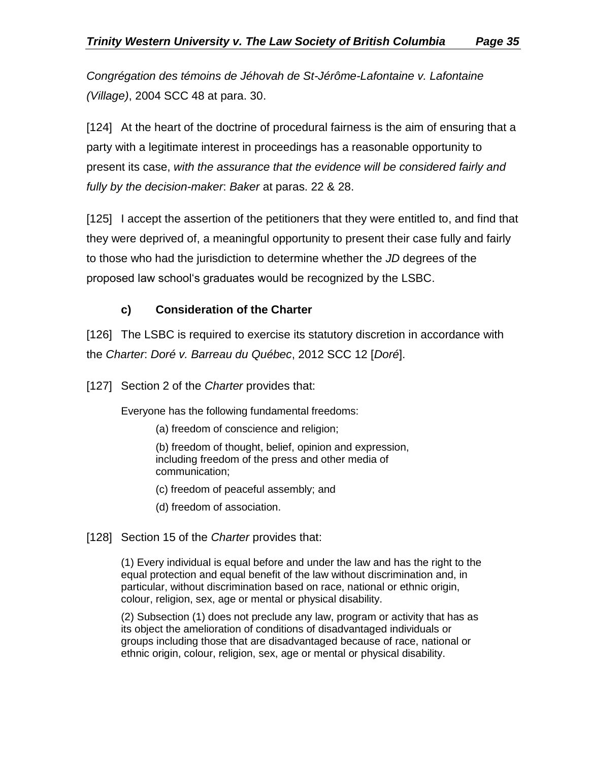*Congrégation des témoins de Jéhovah de St-Jérôme-Lafontaine v. Lafontaine (Village)*, 2004 SCC 48 at para. 30.

[124] At the heart of the doctrine of procedural fairness is the aim of ensuring that a party with a legitimate interest in proceedings has a reasonable opportunity to present its case, *with the assurance that the evidence will be considered fairly and fully by the decision-maker*: *Baker* at paras. 22 & 28.

[125] I accept the assertion of the petitioners that they were entitled to, and find that they were deprived of, a meaningful opportunity to present their case fully and fairly to those who had the jurisdiction to determine whether the *JD* degrees of the proposed law school's graduates would be recognized by the LSBC.

# **c) Consideration of the Charter**

<span id="page-34-0"></span>[126] The LSBC is required to exercise its statutory discretion in accordance with the *Charter*: *Doré v. Barreau du Québec*, 2012 SCC 12 [*Doré*].

[127] Section 2 of the *Charter* provides that:

Everyone has the following fundamental freedoms:

(a) freedom of conscience and religion;

(b) freedom of thought, belief, opinion and expression, including freedom of the press and other media of communication;

- (c) freedom of peaceful assembly; and
- (d) freedom of association.

# [128] Section 15 of the *Charter* provides that:

(1) Every individual is equal before and under the law and has the right to the equal protection and equal benefit of the law without discrimination and, in particular, without discrimination based on race, national or ethnic origin, colour, religion, sex, age or mental or physical disability.

(2) Subsection (1) does not preclude any law, program or activity that has as its object the amelioration of conditions of disadvantaged individuals or groups including those that are disadvantaged because of race, national or ethnic origin, colour, religion, sex, age or mental or physical disability.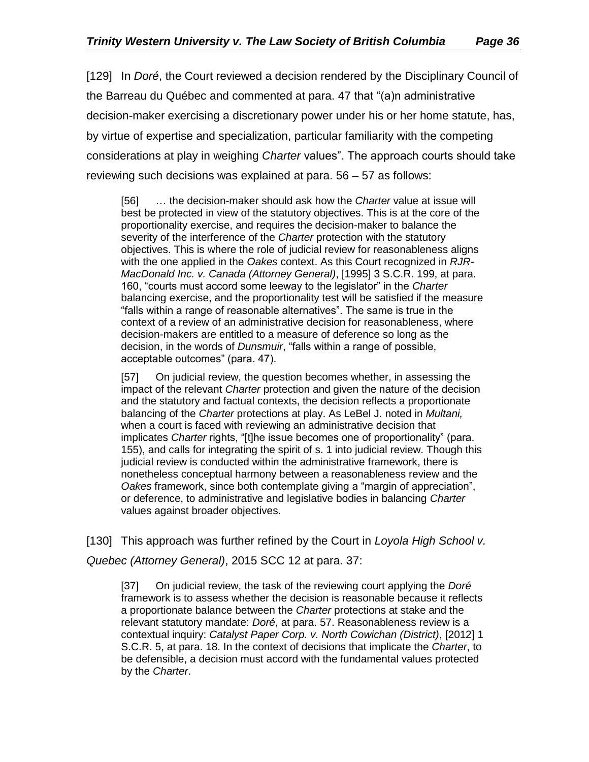[129] In *Doré*, the Court reviewed a decision rendered by the Disciplinary Council of the Barreau du Québec and commented at para. 47 that "(a)n administrative decision-maker exercising a discretionary power under his or her home statute, has, by virtue of expertise and specialization, particular familiarity with the competing considerations at play in weighing *Charter* values". The approach courts should take reviewing such decisions was explained at para. 56 – 57 as follows:

[56] … the decision-maker should ask how the *Charter* value at issue will best be protected in view of the statutory objectives. This is at the core of the proportionality exercise, and requires the decision-maker to balance the severity of the interference of the *Charter* protection with the statutory objectives. This is where the role of judicial review for reasonableness aligns with the one applied in the *Oakes* context. As this Court recognized in *RJR-MacDonald Inc. v. Canada (Attorney General)*, [1995] 3 S.C.R. 199, at para. 160, "courts must accord some leeway to the legislator" in the *Charter* balancing exercise, and the proportionality test will be satisfied if the measure "falls within a range of reasonable alternatives". The same is true in the context of a review of an administrative decision for reasonableness, where decision-makers are entitled to a measure of deference so long as the decision, in the words of *Dunsmuir*, "falls within a range of possible, acceptable outcomes" (para. 47).

[57] On judicial review, the question becomes whether, in assessing the impact of the relevant *Charter* protection and given the nature of the decision and the statutory and factual contexts, the decision reflects a proportionate balancing of the *Charter* protections at play. As LeBel J. noted in *Multani,* when a court is faced with reviewing an administrative decision that implicates *Charter* rights, "[t]he issue becomes one of proportionality" (para. 155), and calls for integrating the spirit of s. 1 into judicial review. Though this judicial review is conducted within the administrative framework, there is nonetheless conceptual harmony between a reasonableness review and the *Oakes* framework, since both contemplate giving a "margin of appreciation", or deference, to administrative and legislative bodies in balancing *Charter* values against broader objectives.

[130] This approach was further refined by the Court in *Loyola High School v. Quebec (Attorney General)*, 2015 SCC 12 at para. 37:

[37] On judicial review, the task of the reviewing court applying the *Doré* framework is to assess whether the decision is reasonable because it reflects a proportionate balance between the *Charter* protections at stake and the relevant statutory mandate: *Doré*, at para. 57. Reasonableness review is a contextual inquiry: *Catalyst Paper Corp. v. North Cowichan (District)*, [2012] 1 S.C.R. 5, at para. 18. In the context of decisions that implicate the *Charter*, to be defensible, a decision must accord with the fundamental values protected by the *Charter*.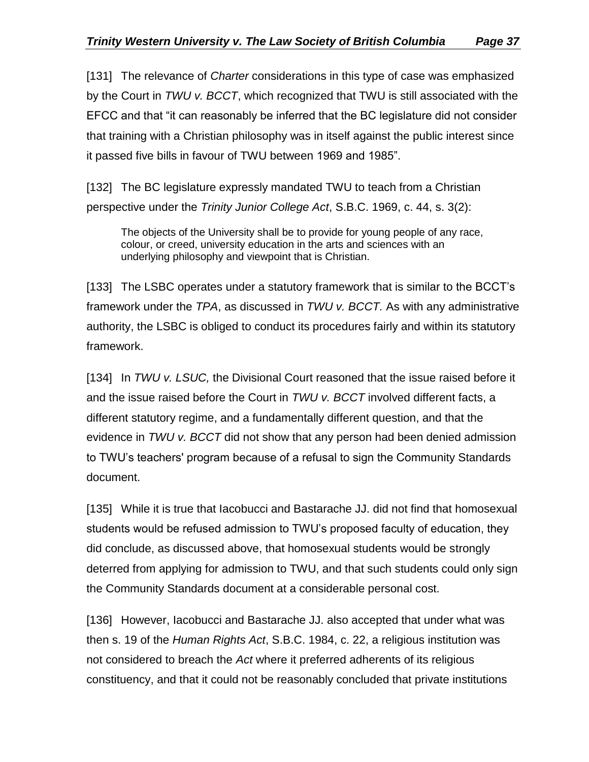[131] The relevance of *Charter* considerations in this type of case was emphasized by the Court in *TWU v. BCCT*, which recognized that TWU is still associated with the EFCC and that "it can reasonably be inferred that the BC legislature did not consider that training with a Christian philosophy was in itself against the public interest since it passed five bills in favour of TWU between 1969 and 1985".

[132] The BC legislature expressly mandated TWU to teach from a Christian perspective under the *Trinity Junior College Act*, S.B.C. 1969, c. 44, s. 3(2):

The objects of the University shall be to provide for young people of any race, colour, or creed, university education in the arts and sciences with an underlying philosophy and viewpoint that is Christian.

[133] The LSBC operates under a statutory framework that is similar to the BCCT's framework under the *TPA*, as discussed in *TWU v. BCCT.* As with any administrative authority, the LSBC is obliged to conduct its procedures fairly and within its statutory framework.

[134] In *TWU v. LSUC,* the Divisional Court reasoned that the issue raised before it and the issue raised before the Court in *TWU v. BCCT* involved different facts, a different statutory regime, and a fundamentally different question, and that the evidence in *TWU v. BCCT* did not show that any person had been denied admission to TWU's teachers' program because of a refusal to sign the Community Standards document.

[135] While it is true that Iacobucci and Bastarache JJ. did not find that homosexual students would be refused admission to TWU's proposed faculty of education, they did conclude, as discussed above, that homosexual students would be strongly deterred from applying for admission to TWU, and that such students could only sign the Community Standards document at a considerable personal cost.

[136] However, Iacobucci and Bastarache JJ. also accepted that under what was then s. 19 of the *Human Rights Act*, S.B.C. 1984, c. 22, a religious institution was not considered to breach the *Act* where it preferred adherents of its religious constituency, and that it could not be reasonably concluded that private institutions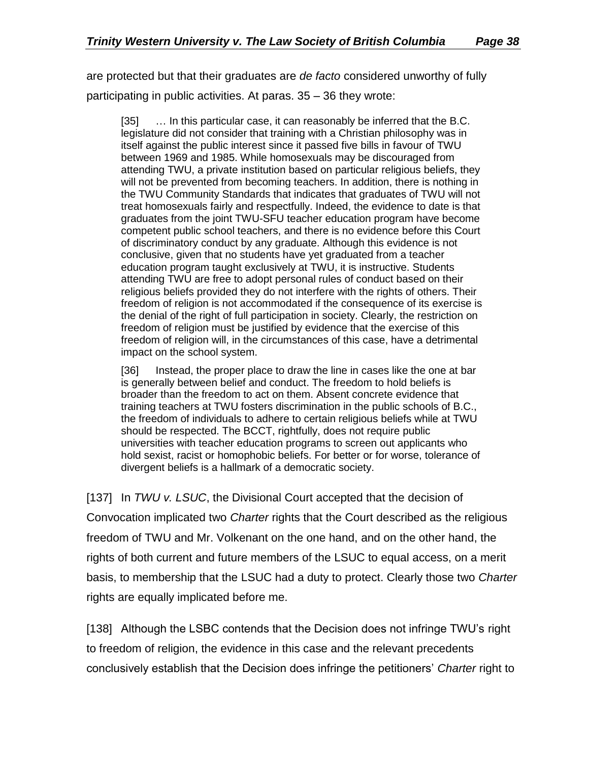are protected but that their graduates are *de facto* considered unworthy of fully participating in public activities. At paras. 35 – 36 they wrote:

[35] ... In this particular case, it can reasonably be inferred that the B.C. legislature did not consider that training with a Christian philosophy was in itself against the public interest since it passed five bills in favour of TWU between 1969 and 1985. While homosexuals may be discouraged from attending TWU, a private institution based on particular religious beliefs, they will not be prevented from becoming teachers. In addition, there is nothing in the TWU Community Standards that indicates that graduates of TWU will not treat homosexuals fairly and respectfully. Indeed, the evidence to date is that graduates from the joint TWU-SFU teacher education program have become competent public school teachers, and there is no evidence before this Court of discriminatory conduct by any graduate. Although this evidence is not conclusive, given that no students have yet graduated from a teacher education program taught exclusively at TWU, it is instructive. Students attending TWU are free to adopt personal rules of conduct based on their religious beliefs provided they do not interfere with the rights of others. Their freedom of religion is not accommodated if the consequence of its exercise is the denial of the right of full participation in society. Clearly, the restriction on freedom of religion must be justified by evidence that the exercise of this freedom of religion will, in the circumstances of this case, have a detrimental impact on the school system.

[36] Instead, the proper place to draw the line in cases like the one at bar is generally between belief and conduct. The freedom to hold beliefs is broader than the freedom to act on them. Absent concrete evidence that training teachers at TWU fosters discrimination in the public schools of B.C., the freedom of individuals to adhere to certain religious beliefs while at TWU should be respected. The BCCT, rightfully, does not require public universities with teacher education programs to screen out applicants who hold sexist, racist or homophobic beliefs. For better or for worse, tolerance of divergent beliefs is a hallmark of a democratic society.

[137] In *TWU v. LSUC*, the Divisional Court accepted that the decision of Convocation implicated two *Charter* rights that the Court described as the religious freedom of TWU and Mr. Volkenant on the one hand, and on the other hand, the rights of both current and future members of the LSUC to equal access, on a merit basis, to membership that the LSUC had a duty to protect. Clearly those two *Charter*  rights are equally implicated before me.

[138] Although the LSBC contends that the Decision does not infringe TWU's right to freedom of religion, the evidence in this case and the relevant precedents conclusively establish that the Decision does infringe the petitioners' *Charter* right to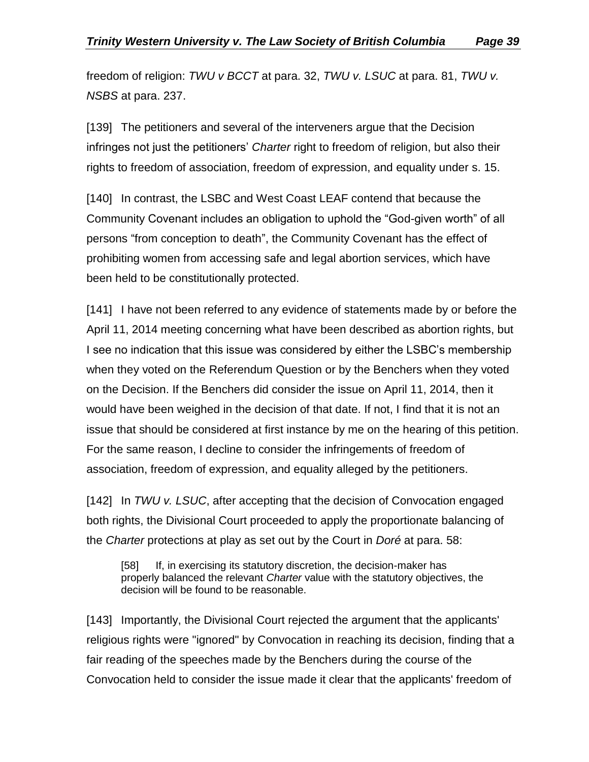freedom of religion: *TWU v BCCT* at para. 32, *TWU v. LSUC* at para. 81, *TWU v. NSBS* at para. 237.

[139] The petitioners and several of the interveners argue that the Decision infringes not just the petitioners' *Charter* right to freedom of religion, but also their rights to freedom of association, freedom of expression, and equality under s. 15.

[140] In contrast, the LSBC and West Coast LEAF contend that because the Community Covenant includes an obligation to uphold the "God-given worth" of all persons "from conception to death", the Community Covenant has the effect of prohibiting women from accessing safe and legal abortion services, which have been held to be constitutionally protected.

[141] I have not been referred to any evidence of statements made by or before the April 11, 2014 meeting concerning what have been described as abortion rights, but I see no indication that this issue was considered by either the LSBC's membership when they voted on the Referendum Question or by the Benchers when they voted on the Decision. If the Benchers did consider the issue on April 11, 2014, then it would have been weighed in the decision of that date. If not, I find that it is not an issue that should be considered at first instance by me on the hearing of this petition. For the same reason, I decline to consider the infringements of freedom of association, freedom of expression, and equality alleged by the petitioners.

[142] In *TWU v. LSUC*, after accepting that the decision of Convocation engaged both rights, the Divisional Court proceeded to apply the proportionate balancing of the *Charter* protections at play as set out by the Court in *Doré* at para. 58:

[58] If, in exercising its statutory discretion, the decision-maker has properly balanced the relevant *Charter* value with the statutory objectives, the decision will be found to be reasonable.

[143] Importantly, the Divisional Court rejected the argument that the applicants' religious rights were "ignored" by Convocation in reaching its decision, finding that a fair reading of the speeches made by the Benchers during the course of the Convocation held to consider the issue made it clear that the applicants' freedom of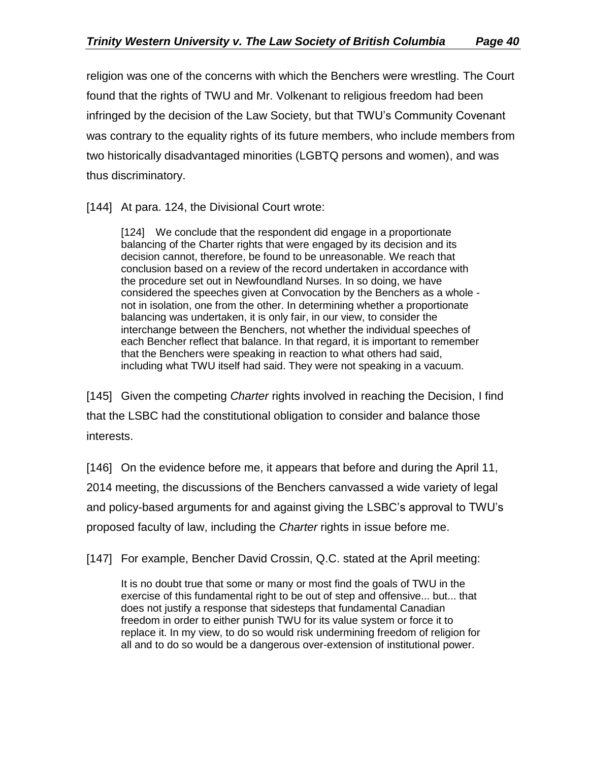religion was one of the concerns with which the Benchers were wrestling. The Court found that the rights of TWU and Mr. Volkenant to religious freedom had been infringed by the decision of the Law Society, but that TWU's Community Covenant was contrary to the equality rights of its future members, who include members from two historically disadvantaged minorities (LGBTQ persons and women), and was thus discriminatory.

[144] At para. 124, the Divisional Court wrote:

[124] We conclude that the respondent did engage in a proportionate balancing of the Charter rights that were engaged by its decision and its decision cannot, therefore, be found to be unreasonable. We reach that conclusion based on a review of the record undertaken in accordance with the procedure set out in Newfoundland Nurses. In so doing, we have considered the speeches given at Convocation by the Benchers as a whole not in isolation, one from the other. In determining whether a proportionate balancing was undertaken, it is only fair, in our view, to consider the interchange between the Benchers, not whether the individual speeches of each Bencher reflect that balance. In that regard, it is important to remember that the Benchers were speaking in reaction to what others had said, including what TWU itself had said. They were not speaking in a vacuum.

[145] Given the competing *Charter* rights involved in reaching the Decision, I find that the LSBC had the constitutional obligation to consider and balance those interests.

[146] On the evidence before me, it appears that before and during the April 11, 2014 meeting, the discussions of the Benchers canvassed a wide variety of legal and policy-based arguments for and against giving the LSBC's approval to TWU's proposed faculty of law, including the *Charter* rights in issue before me.

[147] For example, Bencher David Crossin, Q.C. stated at the April meeting:

It is no doubt true that some or many or most find the goals of TWU in the exercise of this fundamental right to be out of step and offensive... but... that does not justify a response that sidesteps that fundamental Canadian freedom in order to either punish TWU for its value system or force it to replace it. In my view, to do so would risk undermining freedom of religion for all and to do so would be a dangerous over-extension of institutional power.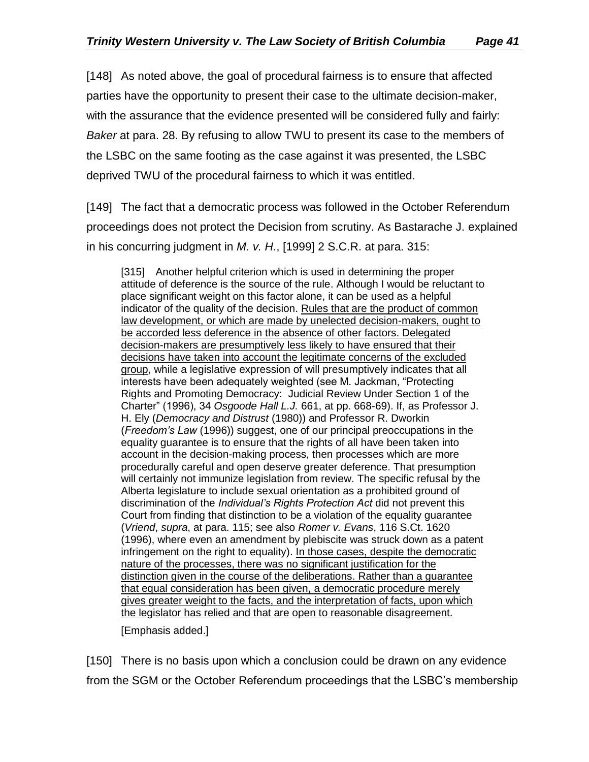[148] As noted above, the goal of procedural fairness is to ensure that affected parties have the opportunity to present their case to the ultimate decision-maker, with the assurance that the evidence presented will be considered fully and fairly: *Baker* at para. 28. By refusing to allow TWU to present its case to the members of the LSBC on the same footing as the case against it was presented, the LSBC deprived TWU of the procedural fairness to which it was entitled.

[149] The fact that a democratic process was followed in the October Referendum proceedings does not protect the Decision from scrutiny. As Bastarache J. explained in his concurring judgment in *M. v. H.*, [1999] 2 S.C.R. at para. 315:

[315] Another helpful criterion which is used in determining the proper attitude of deference is the source of the rule. Although I would be reluctant to place significant weight on this factor alone, it can be used as a helpful indicator of the quality of the decision. Rules that are the product of common law development, or which are made by unelected decision-makers, ought to be accorded less deference in the absence of other factors. Delegated decision-makers are presumptively less likely to have ensured that their decisions have taken into account the legitimate concerns of the excluded group, while a legislative expression of will presumptively indicates that all interests have been adequately weighted (see M. Jackman, "Protecting Rights and Promoting Democracy: Judicial Review Under Section 1 of the Charter" (1996), 34 *Osgoode Hall L.J.* 661, at pp. 668-69). If, as Professor J. H. Ely (*Democracy and Distrust* (1980)) and Professor R. Dworkin (*Freedom's Law* (1996)) suggest, one of our principal preoccupations in the equality guarantee is to ensure that the rights of all have been taken into account in the decision-making process, then processes which are more procedurally careful and open deserve greater deference. That presumption will certainly not immunize legislation from review. The specific refusal by the Alberta legislature to include sexual orientation as a prohibited ground of discrimination of the *Individual's Rights Protection Act* did not prevent this Court from finding that distinction to be a violation of the equality guarantee (*Vriend*, *supra*, at para. 115; see also *Romer v. Evans*, 116 S.Ct. 1620 (1996), where even an amendment by plebiscite was struck down as a patent infringement on the right to equality). In those cases, despite the democratic nature of the processes, there was no significant justification for the distinction given in the course of the deliberations. Rather than a guarantee that equal consideration has been given, a democratic procedure merely gives greater weight to the facts, and the interpretation of facts, upon which the legislator has relied and that are open to reasonable disagreement.

[Emphasis added.]

[150] There is no basis upon which a conclusion could be drawn on any evidence from the SGM or the October Referendum proceedings that the LSBC's membership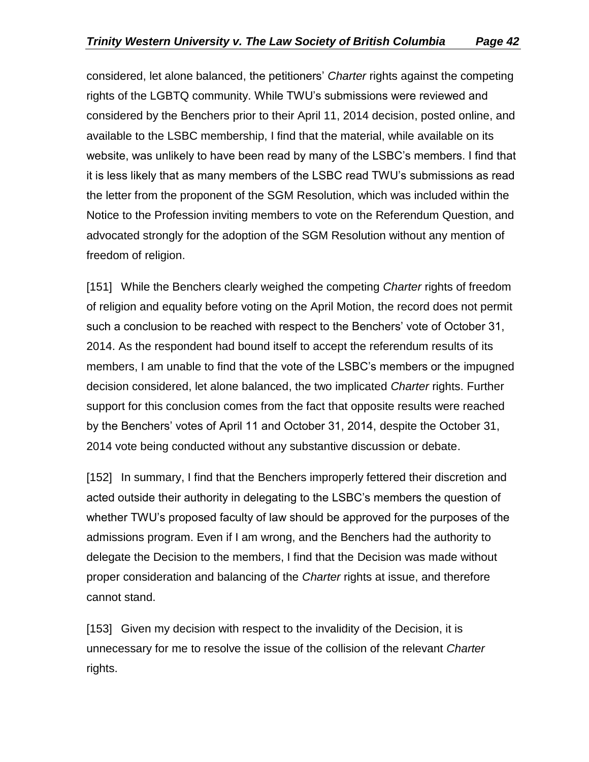considered, let alone balanced, the petitioners' *Charter* rights against the competing rights of the LGBTQ community. While TWU's submissions were reviewed and considered by the Benchers prior to their April 11, 2014 decision, posted online, and available to the LSBC membership, I find that the material, while available on its website, was unlikely to have been read by many of the LSBC's members. I find that it is less likely that as many members of the LSBC read TWU's submissions as read the letter from the proponent of the SGM Resolution, which was included within the Notice to the Profession inviting members to vote on the Referendum Question, and advocated strongly for the adoption of the SGM Resolution without any mention of freedom of religion.

[151] While the Benchers clearly weighed the competing *Charter* rights of freedom of religion and equality before voting on the April Motion, the record does not permit such a conclusion to be reached with respect to the Benchers' vote of October 31, 2014. As the respondent had bound itself to accept the referendum results of its members, I am unable to find that the vote of the LSBC's members or the impugned decision considered, let alone balanced, the two implicated *Charter* rights. Further support for this conclusion comes from the fact that opposite results were reached by the Benchers' votes of April 11 and October 31, 2014, despite the October 31, 2014 vote being conducted without any substantive discussion or debate.

[152] In summary, I find that the Benchers improperly fettered their discretion and acted outside their authority in delegating to the LSBC's members the question of whether TWU's proposed faculty of law should be approved for the purposes of the admissions program. Even if I am wrong, and the Benchers had the authority to delegate the Decision to the members, I find that the Decision was made without proper consideration and balancing of the *Charter* rights at issue, and therefore cannot stand.

[153] Given my decision with respect to the invalidity of the Decision, it is unnecessary for me to resolve the issue of the collision of the relevant *Charter* rights.